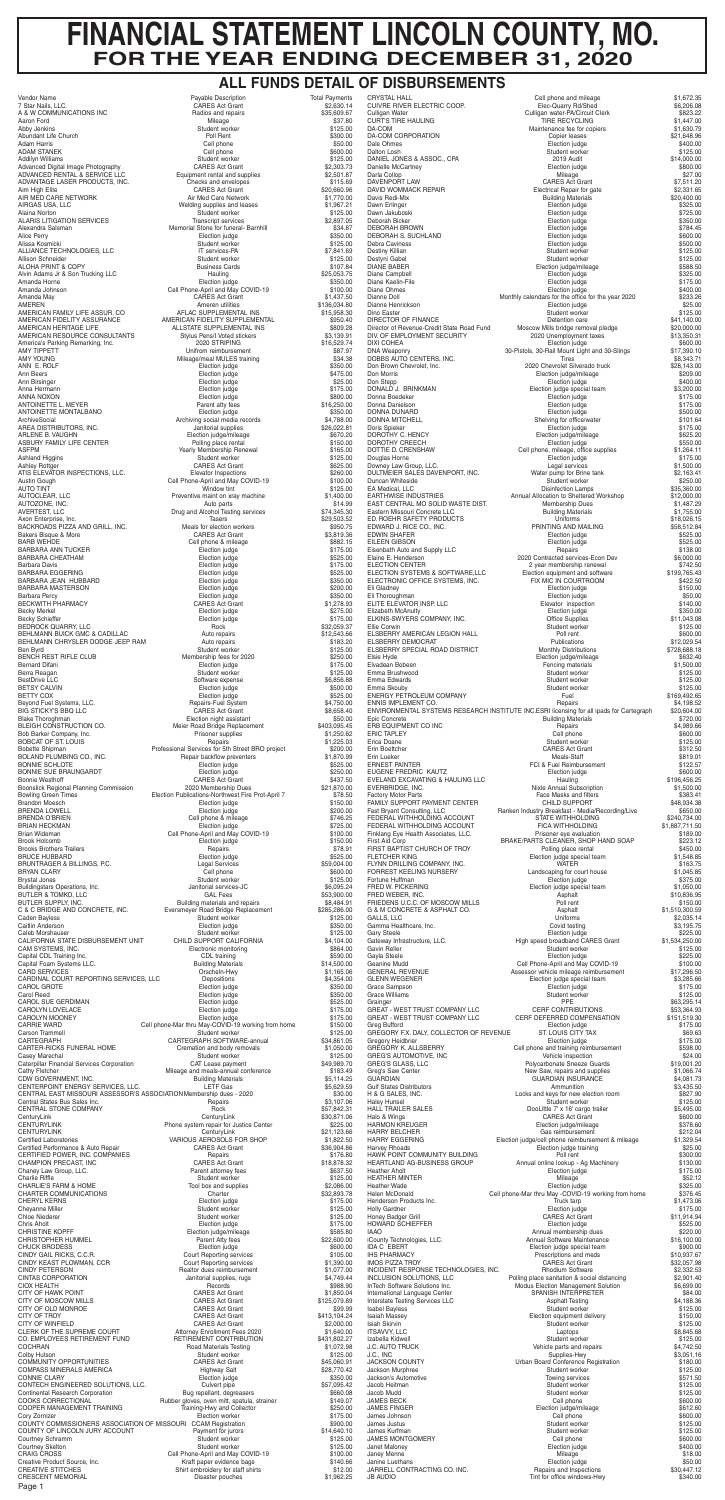# **FINANCIAL STATEMENT LINCOLN COUNTY, MO. FOR THE YEAR ENDING DECEMBER 31, 2020**

Page 1

### **ALL FUNDS DETAIL OF DISBURSEMENTS**

BRUNTRAGER & BILLINGS, P.C. Legal Services \$59,004.00 Brudent worker \$125.00<br>
Janitorial services-JC \$6,095.24 Cell phone-Mar thru May-COVID-19 working from home \$150.00<br>Student worker \$125.00 CARTEGRAPH SOFTWARE-annual \$34,861.05<br>Cremation and body removals \$1,050.00 Phone system repair for Justice Center \$225.00<br>CenturyLink \$21,123.66 Student worker \$125.00<br>Tool box and supplies \$2,086.00 Election judge \$175.00<br>
ction judge/mileage \$585.80 Road Materials Testing  $$1,072.98$ <br>Student worker \$125.00

H & G SALES, INC.<br>
Haley Hunsel<br>
Student worker<br>
Student worker Halo & Wings<br>HARMON KREUGER HAWK POINT COMMUNITY BUILDING Poll rent Poll rent POINT COMMUNITY BUILDING POINT POINT POINT POINT POINT POINT POINT POINT POINT POINT POINT POINT POINT POINT POINT POINT POINT POINT POINT POINT POINT POINT POINT POINT POI J.C. AUTO TRUCK UP AND TRUCK Vehicle parts and repairs 3.0.2011 Vehicle parts and repairs 3.000 UP 3.42.500 UP A Jackson Murphree JAMES MONTGOMERY COMERY Cell phone<br>
Janet Malonev Channel Communication Communication induce

FORREST KEELING NURSERY Landscaping for court house \$1,045.85<br>Fortune Huffman \$375.00 Fortune Huffman Election judge \$375.00 Election judge special team FRED W. PICKERING FRED W. PICKERING FRED W. PICKERING FRED W. PICKERING FRED W. PICKERING FRED W. PICKERING FRED W. PICKERING FRED W. PICKERING FRED W. PICKERING FRED WEBER, INC.<br>
FRIEDENS U.C.C. OF MOSCOW MILLS FOUR POIL FRIEDENS U.C.C. OF MOSCOW MILLS **FRIEDENS U.C.C. OF MOSCOW MILLS Poll rent Poll rent Poll rent COLL Assets a** Strategy of the Assets of the Assets of the Assets of the Assets of the Strategy of the Strategy of the G & M CONCRETE & ASPHALT CO. Asphalt the state of the state of the state of the state of the state of the state of the state of the state of the state of the state of the state of the state of the state of the state of the GALLS, LLC Uniforms \$2,035.14 Gamma Healthcare, Inc. Covid testing Covid testing the start of the start of the S3,195.75<br>Gary Steele S225.00<br>Gateway Infrastructure, LLC. High speed broadband CARES Grant \$1,534,250.00 Gary Steele Election judge \$225.00 Gateway Infrastructure, LLC. The State of High speed broadband CARES Grant \$1,534,250.00 Gavin Reller Student worker Student worker \$125.00<br>Gayla Steele S225.00<br>Geanine Mudd Cell Phone-April and May COVID-19 \$100.00 Gayla Steele Election judge \$225.00 Geanine Mudd Cell Phone-April and May COVID-19 \$100.00 GENERAL REVENUE Assessor vehicle mileage reimbursement \$17,296.50<br>GLENN WEGENER Assessor vehicle mileage reimbursement \$17,296.50<br>GLENN WEGENER Election judge special team \$3,285.66 Election judge special team Grace Sampson Election judge \$175.00 Student worker \$125.00<br>PPE \$63,295.14<br>CERF CONTRIBUTIONS \$53,364.93 Grainger PPE \$63,295.14 GREAT - WEST TRUST COMPANY LLC CERF CONTRIBUTIONS \$53,364.93 GREAT - WEST TRUST COMPANY LLC CERF DEFERRED COMPENSATION \$151,519.30<br>Greg Bufford **6151,519.30**<br>GREGORY F.X. DALY, COLLECTOR OF REVENUE ST. LOUIS CITY TAX \$69.63 Greg Bufford Election judge \$175.00 GREGORY F.X. DALY, COLLECTOR OF REVENUE ST. LOUIS CITY TAX \$69.63 Gregory Heidbrier **Election in the Election indge** Election in the State of the State of the State of the State o Cell phone and training reimbursement \$598.00<br>Vehicle inspection \$24.00 GREG'S AUTOMOTIVE, INC Vehicle inspection \$24.00 GREG'S GLASS, LLC Polycarbonate Sneeze Guards \$19,001.20<br>Greg's Saw Center The State of the Saw, repairs and supplies \$1,066.74<br>GUARDIAN INSURANCE \$4,081.73 Greg's Saw Center  $\sim$  81,066.74 GUARDIAN GUARDIAN INSURANCE \$4,081.73 Gulf States Distributors **Ammunition** \$3,435.50<br>
H & G SALES, INC. **All States Distributors Ammunition Ammunition Ammunition Ammunition Ammunition Ammunition Ammunition Ammunition Ammunition Ammunition** Haley Hunsel \$125.00<br>HALL TRAILER SALES THE STUDE SERVICE SOLITING THE STUDENT SOLE STARS SARES SARES SOLE STARS THE DOOL IT OF STA DooLittle 7' x 16' cargo trailer \$5,495.00<br>CARES Act Grant \$600.00 HARMON KREUGER Election judge/mileage \$378.60 HARRY BELCHER Gas reimbursement \$212.04 HARRY EGGERING **Election judge/cell phone reimbursement & mileage** \$1,329.54<br>Harvev Rhoads **625.00** Election judge training Harvey Rhoads 625.00 (\$25.00) Election judge training \$25.00 (\$25.00 (\$25.00 FIAWK POINT COMMUNITY BUILDING HEARTLAND AG-BUSINESS GROUP Annual online lookup - Ag Machinery \$130.00 Heather Aholt Election judge \$175.00 HEATHER MINTER **SEARCH ARE SEARCH AT A CHANNEL MINTER**<br>Heather Wade **1998**<br>Helen McDonald **Cell phone-Mar thru May -COVID-19** working from home \$376.45<br>\$376.45 Heather Wade Election judge \$325.00 Helen McDonald Cell phone-Mar thru May -COVID-19 working from home \$376.45 Henderson Products Inc. Truck tarp \$1,473.06 Holly Gardner Election judge \$175.00 Honey Badger Grill CARES Act Grant \$11,914.94 HOWARD SCHIEFFER SE25.00<br>IAAO SCHIEFFER ELECTION Annual membership dues<br>\$220.00 IAAO Annual membership dues \$220.00 iCounty Technologies, LLC. Annual Software Maintenance \$16,100.00 ICounty Technologies, LLC.<br>
IDA C EBERT Election judge special team \$900.00<br>
IDA C EBERT Election judge special team \$900.00<br>
INS PHARMACY PRESCriptions and meds \$10,937.67<br>
IMOS PIZZA TROY CARES Act Grant \$32,057.98 IHS PHARMACY Prescriptions and meds \$10,937.67 IMOS PIZZA TROY CARES Act Grant \$32,057.98 INCIDENT RESPONSE TECHNOLOGIES, INC. <br>INCLUSION SOLUTIONS, LLC<br>InTech Software Solutions Inc. Modus Election Management Solution<br>InTech Software Solutions Inc. Modus Election Management Solution \$6,699.00 Polling place sanitation & social distancing InTech Software Solutions Inc. Modus Election Management Solution \$6,699.00 International Language Center Sexteen SPANISH INTERPRETER \$84.00 Interstate Testing Services LLC<br>
Isabel Bayless **Assume that the State of State Asphalt Testing 34,188.36**<br>
Student worker \$125.00 Isabel Bayless Student worker \$125.00<br>Isaiah Massey Student worker \$150.00 Election equipment delivery \$150.00<br>
Student worker \$125.00 Student worker \$125.00<br>
Laptops \$8.845.68 ISLA Skirvin Student worker<br>
ISLA Skirvin Student Worker<br>
ISLA Skirvin Student Worker<br>
ISLA Skirvin Student Worker<br>
ISLA Skirvin Student Worker<br>
Student Worker<br>
Student Worker<br>
Stabella Kidwell<br>
Stabella Kidwell Izabella Kidwell (1999)<br>
Izabella Kidwell (1999)<br>
Student worker \$125.00<br>
Supplies-Hwy (1999)<br>
States Squares Squares Squares Squares Squares Squares Squares Squares Squares Squares Squares Squares Squares Squares Squares J.C., INC Supplies-Hwy \$3,051.16 Urban Board Conference Registration \$180.00<br>Student worker \$125.00 Jackson's Automotive Towing services \$571.50 Student worker \$125.00<br>Student worker \$125.00 Student worker \$125.00<br>Cell phone \$600.00 Jacob Mudd<br>Jacob Mudd<br>JAMES BECK Cell phone S600.00<br>JAMES FINGER SECON Cell phone S600.00<br>JAMES FINGER S612.60 Election judge/mileage \$612.60<br>Cell phone \$600.00 James Johnson Cell phone \$600.00 James Justus Student worker \$125.00 Student worker \$125.00<br>
Cell phone \$600.00<br>
Election judge \$400.00 Janet Maloney Election judge \$400.00  $\begin{array}{cccc}\text{Mileage} \end{array} \begin{array}{c}\text{Mileage} \end{array} \begin{array}{c}\text{S18.00} \end{array} \begin{array}{c}\text{S18.00} \end{array}$ Janine Luethans Election judge \$50.00 JARRELL CONTRACTING CO. INC. The repairs and Inspections the state that the \$30,447.12 JB AUDIO **Time is a contract of the Contract Oriental Contract Contract Contract Contract Contract Contract Contract Contract Contract Contract Contract Contract Contract Contract Contract Contract Contract Contract Contra** 

| <b>Vendor Name</b>                                      | Payable Description                                                 | <b>Total Payments</b>        |
|---------------------------------------------------------|---------------------------------------------------------------------|------------------------------|
| 7 Star Nails, LLC.                                      | <b>CARES Act Grant</b>                                              | \$2,630.14                   |
| A & W COMMUNICATIONS INC                                | Radios and repairs                                                  | \$35,609.67                  |
| Aaron Ford                                              | Mileage                                                             | \$37.80                      |
| Abby Jenkins                                            | Student worker                                                      | \$125.00                     |
| Abundant Life Church<br><b>Adam Harris</b>              | Poll Rent                                                           | \$300.00<br>\$50.00          |
| ADAM STANEK                                             | Cell phone<br>Cell phone                                            | \$600.00                     |
| Addilyn Williams                                        | Student worker                                                      | \$125.00                     |
| Advanced Digital Image Photography                      | <b>CARES Act Grant</b>                                              | \$2,303.73                   |
| ADVANCED RENTAL & SERVICE LLC                           | Equipment rental and supplies                                       | \$2,501.87                   |
| ADVANTAGE LASER PRODUCTS, INC.                          | Checks and envelopes                                                | \$115.69                     |
| Aim High Elite                                          | <b>CARES Act Grant</b>                                              | \$20,660.96                  |
| AIR MED CARE NETWORK<br>AIRGAS USA, LLC                 | Air Med Care Network                                                | \$1,770.00<br>\$1,967.21     |
| Alaina Norton                                           | Welding supplies and leases<br>Student worker                       | \$125.00                     |
| <b>ALARIS LITIGATION SERVICES</b>                       | <b>Transcript services</b>                                          | \$2,897.05                   |
| Alexandra Salsman                                       | Memorial Stone for funeral- Barnhill                                | \$34.87                      |
| <b>Alice Perry</b>                                      | Election judge                                                      | \$350.00                     |
| Alissa Kosmicki                                         | Student worker                                                      | \$125.00                     |
| ALLIANCE TECHNOLOGIES, LLC                              | IT services-PA                                                      | \$7,841.69                   |
| Allison Schneider<br><b>ALOHA PRINT &amp; COPY</b>      | Student worker<br><b>Business Cards</b>                             | \$125.00<br>\$107.84         |
| Alvin Adams Jr & Son Trucking LLC                       | Hauling                                                             | \$25,053.75                  |
| Amanda Horne                                            | Election judge                                                      | \$350.00                     |
| Amanda Johnson                                          | Cell Phone-April and May COVID-19                                   | \$100.00                     |
| Amanda May                                              | <b>CARES Act Grant</b>                                              | \$1,437.50                   |
| AMEREN                                                  | Ameren utilities                                                    | \$136,034.80                 |
| AMERICAN FAMILY LIFE ASSUR. CO                          | AFLAC SUPPLEMENTAL INS                                              | \$15,958.30                  |
| AMERICAN FIDELITY ASSURANCE<br>AMERICAN HERITAGE LIFE   | AMERICAN FIDELITY SUPPLEMENTAL<br>ALLSTATE SUPPLEMENTAL INS         | \$950.40<br>\$809.28         |
| AMERICAN RESOURCE CONSULTANTS                           | Stylus Pens/I Voted stickers                                        | \$3,139.91                   |
| America's Parking Remarking, Inc.                       | 2020 STRIPING                                                       | \$16,529.74                  |
| AMY TIPPETT                                             | Unifrom reimbursement                                               | \$87.97                      |
| AMY YOUNG                                               | Mileage/meal MULES training                                         | \$34.38                      |
| ANN E. ROLF                                             | Election judge                                                      | \$350.00                     |
| Ann Beers                                               | Election judge                                                      | \$475.00                     |
| Ann Birsinger<br>Anna Hermann                           | Election judge<br>Election judge                                    | \$25.00<br>\$175.00          |
| ANNA NOXON                                              | Election judge                                                      | \$800.00                     |
| ANTOINETTE L. MEYER                                     | Parent atty fees                                                    | \$16,250.00                  |
| ANTOINETTE MONTALBANO                                   | Election judge                                                      | \$350.00                     |
| ArchiveSocial                                           | Archiving social media records                                      | \$4,788.00                   |
| AREA DISTRIBUTORS, INC.                                 | Janitorial supplies                                                 | \$26,022.81                  |
| ARLENE B. VAUGHN                                        | Election judge/mileage                                              | \$670.20                     |
| ASBURY FAMILY LIFE CENTER<br><b>ASFPM</b>               | Polling place rental<br>Yearly Membership Renewal                   | \$150.00<br>\$165.00         |
| <b>Ashland Higgins</b>                                  | Student worker                                                      | \$125.00                     |
| <b>Ashley Rottger</b>                                   | <b>CARES Act Grant</b>                                              | \$625.00                     |
| ATIS ELEVATOR INSPECTIONS, LLC.                         | <b>Elevator Inspections</b>                                         | \$260.00                     |
| Austin Gough                                            | Cell Phone-April and May COVID-19                                   | \$100.00                     |
| <b>AUTO TINT</b>                                        | Window tint                                                         | \$125.00                     |
| AUTOCLEAR, LLC<br>AUTOZONE, INC.                        | Preventive maint on xray machine                                    | \$1,400.00<br>\$14.99        |
| AVERTEST, LLC                                           | Auto parts<br>Drug and Alcohol Testing services                     | \$74,345.30                  |
| Axon Enterprise, Inc.                                   | Tasers                                                              | \$29,503.52                  |
| BACKROADS PIZZA AND GRILL, INC.                         | Meals for election workers                                          | \$950.75                     |
| Bakers Bisque & More                                    | <b>CARES Act Grant</b>                                              | \$3.819.36                   |
| <b>BARB WEHDE</b>                                       | Cell phone & mileage                                                | \$882.15                     |
| BARBARA ANN TUCKER                                      | Election judge                                                      | \$175.00                     |
| <b>BARBARA CHEATHAM</b><br>Barbara Davis                | Election judge                                                      | \$525.00                     |
| <b>BARBARA EGGERING</b>                                 | Election judge<br>Election judge                                    | \$175.00<br>\$525.00         |
| BARBARA JEAN HUBBARD                                    | Election judge                                                      | \$350.00                     |
| BARBARA MASTERSON                                       | Election judge                                                      | \$200.00                     |
| <b>Barbara Percy</b>                                    | Election judge                                                      | \$350.00                     |
| <b>BECKWITH PHARMACY</b>                                | <b>CARES Act Grant</b>                                              | \$1,278.93                   |
| <b>Becky Merkel</b>                                     | Election judge                                                      | \$275.00                     |
| <b>Becky Schieffer</b><br><b>BEDROCK QUARRY, LLC</b>    | Election judge<br>Rock                                              | \$175.00<br>\$32,059.37      |
| BEHLMANN BUICK GMC & CADILLAC                           | Auto repairs                                                        | \$12,543.66                  |
| BEHLMANN CHRYSLER DODGE JEEP RAM                        | Auto repairs                                                        | \$183.20                     |
| Ben Byrd                                                | Student worker                                                      | \$125.00                     |
| <b>BENCH REST RIFLE CLUB</b>                            | Membership fees for 2020                                            | \$250.00                     |
| <b>Bernard Difani</b>                                   | Election judge                                                      | \$175.00                     |
| Berra Reagan<br><b>BestDrive LLC</b>                    | Student worker<br>Software expense                                  | \$125.00<br>\$6,856.88       |
| <b>BETSY CALVIN</b>                                     | Election judge                                                      | \$500.00                     |
| <b>BETTY COX</b>                                        | Election judge                                                      | \$525.00                     |
| Beyond Fuel Systems, LLC.                               | Repairs-Fuel System                                                 | \$4,750.00                   |
| BIG STICKY'S BBQ LLC                                    | <b>CARES Act Grant</b>                                              | \$8,658.40                   |
| <b>Blake Thoroghman</b>                                 | Election night assistant                                            | \$50.00                      |
| BLEIGH CONSTRUCTION CO.                                 | Meier Road Bridge Replacement                                       | \$403,095.45                 |
| Bob Barker Company, Inc.<br>BOBCAT OF ST. LOUIS         | Prisoner supplies<br>Repairs                                        | \$1,250.62<br>\$1,225.03     |
| <b>Bobette Shipman</b>                                  | Professional Services for 5th Street BRO project                    | \$200.00                     |
| BOLAND PLUMBING CO., INC.                               | Repair backflow preventers                                          | \$1,870.99                   |
| <b>BONNIE SCHLOTE</b>                                   | Election judge                                                      | \$525.00                     |
| BONNIE SUE BRAUNGARDT                                   | Election judge                                                      | \$250.00                     |
| <b>Bonnie Westhoff</b>                                  | <b>CARES Act Grant</b>                                              | \$437.50                     |
| Boonslick Regional Planning Commission                  | 2020 Membership Dues                                                | \$21,870.00                  |
| <b>Bowling Green Times</b><br><b>Brandon Moesch</b>     | Election Publications-Northwest Fire Prot-April 7<br>Election judge | \$78.50<br>\$150.00          |
| <b>BRENDA LOWELL</b>                                    | Election judge                                                      | \$200.00                     |
| <b>BRENDA O'BRIEN</b>                                   | Cell phone & mileage                                                | \$746.25                     |
| <b>BRIAN HECKMAN</b>                                    | Election judge                                                      | \$725.00                     |
| Brian Wideman                                           | Cell Phone-April and May COVID-19                                   | \$100.00                     |
| <b>Brook Holcomb</b>                                    | Election judge                                                      | \$150.00                     |
| <b>Brooks Brothers Trailers</b><br><b>BRUCE HUBBARD</b> | Repairs                                                             | \$78.91                      |
| RDIINTDACED & RILLINGS DC                               | Election judge<br>Lonal Services                                    | \$525.00<br>$C EQ$ $OQ$ $OQ$ |

| טשו                                                      | ı                          |
|----------------------------------------------------------|----------------------------|
| Payable Description                                      | <b>Total Payments</b>      |
| <b>CARES Act Grant</b>                                   | \$2,630.14                 |
| Radios and repairs                                       | \$35,609.67                |
| Mileage                                                  | \$37.80                    |
| Student worker                                           | \$125.00                   |
| Poll Rent                                                | \$300.00                   |
| Cell phone                                               | \$50.00                    |
| Cell phone<br>Student worker                             | \$600.00<br>\$125.00       |
| <b>CARES Act Grant</b>                                   | \$2,303.73                 |
| Equipment rental and supplies                            | \$2,501.87                 |
| Checks and envelopes                                     | \$115.69                   |
| <b>CARES Act Grant</b>                                   | \$20,660.96                |
| Air Med Care Network                                     | \$1,770.00                 |
| Welding supplies and leases                              | \$1,967.21                 |
| Student worker                                           | \$125.00                   |
| <b>Transcript services</b>                               | \$2,897.05                 |
| Memorial Stone for funeral- Barnhill                     | \$34.87                    |
| Election judge                                           | \$350.00                   |
| Student worker                                           | \$125.00                   |
| IT services-PA<br>Student worker                         | \$7,841.69                 |
| <b>Business Cards</b>                                    | \$125.00<br>\$107.84       |
| Hauling                                                  | \$25,053.75                |
| Election judge                                           | \$350.00                   |
| ell Phone-April and May COVID-19                         | \$100.00                   |
| <b>CARES Act Grant</b>                                   | \$1,437.50                 |
| Ameren utilities                                         | \$136,034.80               |
| AFLAC SUPPLEMENTAL INS                                   | \$15,958.30                |
| ERICAN FIDELITY SUPPLEMENTAL                             | \$950.40                   |
| ALLSTATE SUPPLEMENTAL INS                                | \$809.28                   |
| Stylus Pens/I Voted stickers                             | \$3,139.91                 |
| 2020 STRIPING                                            | \$16,529.74                |
| Unifrom reimbursement<br>Mileage/meal MULES training     | \$87.97<br>\$34.38         |
| Election judge                                           | \$350.00                   |
| Election judge                                           | \$475.00                   |
| Election judge                                           | \$25.00                    |
| Election judge                                           | \$175.00                   |
| Election judge                                           | \$800.00                   |
| Parent atty fees                                         | \$16,250.00                |
| Election judge                                           | \$350.00                   |
| Archiving social media records                           | \$4,788.00                 |
| Janitorial supplies<br>Election judge/mileage            | \$26,022.81<br>\$670.20    |
| Polling place rental                                     | \$150.00                   |
| Yearly Membership Renewal                                | \$165.00                   |
| Student worker                                           | \$125.00                   |
| <b>CARES Act Grant</b>                                   | \$625.00                   |
| Elevator Inspections<br>ell Phone-April and May COVID-19 | \$260.00<br>\$100.00       |
| Window tint                                              | \$125.00                   |
| Preventive maint on xray machine                         | \$1,400.00                 |
| Auto parts                                               | \$14.99                    |
| Drug and Alcohol Testing services                        | \$74,345.30                |
| Tasers<br>Meals for election workers                     | \$29,503.52                |
| <b>CARES Act Grant</b>                                   | \$950.75<br>\$3,819.36     |
| Cell phone & mileage                                     | \$882.15                   |
| Election judge                                           | \$175.00                   |
| Election judge                                           | \$525.00                   |
| Election judge                                           | \$175.00                   |
| Election judge                                           | \$525.00                   |
| Election judge                                           | \$350.00                   |
| Election judge                                           | \$200.00                   |
| Election judge<br><b>CARES Act Grant</b>                 | \$350.00                   |
| Election judge                                           | \$1,278.93<br>\$275.00     |
| Election judge                                           | \$175.00                   |
| Rock                                                     | \$32,059.37                |
| Auto repairs                                             | \$12,543.66                |
| Auto repairs                                             | \$183.20                   |
| Student worker                                           | \$125.00                   |
| Membership fees for 2020                                 | \$250.00                   |
| Election judge<br>Student worker                         | \$175.00<br>\$125.00       |
| Software expense                                         | \$6,856.88                 |
| Election judge                                           | \$500.00                   |
| Election judge                                           | \$525.00                   |
| Repairs-Fuel System                                      | \$4,750.00                 |
| <b>CARES Act Grant</b>                                   | \$8,658.40                 |
| Election night assistant                                 | \$50.00                    |
| Meier Road Bridge Replacement<br>Prisoner supplies       | \$403,095.45<br>\$1,250.62 |
| Repairs                                                  | \$1,225.03                 |
| sional Services for 5th Street BRO project               | \$200.00                   |
| Repair backflow preventers                               | \$1,870.99                 |
| Election judge                                           | \$525.00                   |
| Election judge                                           | \$250.00                   |
| <b>CARES Act Grant</b><br>2020 Membership Dues           | \$437.50<br>\$21,870.00    |
| n Publications-Northwest Fire Prot-April 7               | \$78.50                    |
| Election judge                                           | \$150.00                   |
| Election judge                                           | \$200.00                   |
| Cell phone & mileage                                     | \$746.25                   |
| Election judge                                           | \$725.00                   |
| ell Phone-April and May COVID-19<br>Election judge       | \$100.00<br>\$150.00       |
| Repairs                                                  | \$78.91                    |
| Election judge                                           | \$525.00                   |
|                                                          |                            |

| <b>CRYSTAL HALL</b><br><b>CUIVRE RIVER ELECTRIC COOP.</b>           | Cell phone and mileage<br>Elec-Quarry Rd/Shed                                                       | \$1,672.35<br>\$6,206.08    |
|---------------------------------------------------------------------|-----------------------------------------------------------------------------------------------------|-----------------------------|
| Culligan Water<br><b>CURT'S TIRE HAULING</b>                        | Culligan water-PA/Circuit Clerk<br><b>TIRE RECYCLING</b>                                            | \$823.22<br>\$1,447.00      |
| DA-COM                                                              | Maintenance fee for copiers                                                                         | \$1,630.79                  |
| DA-COM CORPORATION                                                  | Copier leases                                                                                       | \$21,648.96                 |
| Dale Ohmes<br>Dalton Losh                                           | Election judge<br>Student worker                                                                    | \$400.00<br>\$125.00        |
| DANIEL JONES & ASSOC., CPA                                          | 2019 Audit                                                                                          | \$14,000.00                 |
| Danielle McCartney                                                  | Election judge                                                                                      | \$800.00                    |
| Darla Collop<br>DAVENPORT LAW                                       | Mileage<br><b>CARES Act Grant</b>                                                                   | \$27.00<br>\$7,511.20       |
| DAVID WOMMACK REPAIR                                                | Electrical Repair for gate                                                                          | \$2,331.65                  |
| Davis Redi-Mix                                                      | <b>Building Materials</b>                                                                           | \$20,400.00                 |
| Dawn Erlinger                                                       | Election judge                                                                                      | \$325.00                    |
| Dawn Jakuboski<br>Deborah Bicker                                    | Election judge<br>Election judge                                                                    | \$725.00<br>\$350.00        |
| <b>DEBORAH BROWN</b>                                                | Election judge                                                                                      | \$784.45                    |
| DEBORAH S. SUCHLAND                                                 | Election judge                                                                                      | \$600.00                    |
| Debra Caviness<br>Destiny Killian                                   | Election judge<br>Student worker                                                                    | \$500.00<br>\$125.00        |
| Destyni Gabel                                                       | Student worker                                                                                      | \$125.00                    |
| <b>DIANE BABER</b>                                                  | Election judge/mileage                                                                              | \$588.50                    |
| Diane Campbell                                                      | Election judge                                                                                      | \$325.00                    |
| Diane Kaelin-File<br>Diane Ohmes                                    | Election judge<br>Election judge                                                                    | \$175.00<br>\$400.00        |
| Dianne Doll                                                         | Monthly calendars for the office for the year 2020                                                  | \$233.26                    |
| Dianne Henrickson                                                   | Election judge                                                                                      | \$25.00                     |
| Dino Easter<br><b>DIRECTOR OF FINANCE</b>                           | Student worker<br>Detention care                                                                    | \$125.00<br>\$41,140.00     |
| Director of Revenue-Credit State Road Fund                          | Moscow Mills bridge removal pledge                                                                  | \$20,000.00                 |
| DIV. OF EMPLOYMENT SECURITY                                         | 2020 Unemployment taxes                                                                             | \$13.350.31                 |
| DIXI COHEA                                                          | Election judge                                                                                      | \$600.00                    |
| <b>DNA Weaponry</b><br>DOBBS AUTO CENTERS, INC.                     | 30-Pistols, 30-Rail Mount Light and 30-Slings<br><b>Tires</b>                                       | \$17,390.10<br>\$8,343.71   |
| Don Brown Chevrolet, Inc.                                           | 2020 Chevrolet Silverado truck                                                                      | \$28,143.00                 |
| Don Morris                                                          | Election judge/mileage                                                                              | \$209.00                    |
| Don Stepp<br>DONALD J. BRINKMAN                                     | Election judge<br>Election judge special team                                                       | \$400.00<br>\$3,200.00      |
| Donna Boedeker                                                      | Election judge                                                                                      | \$175.00                    |
| Donna Danielson                                                     | Election judge                                                                                      | \$175.00                    |
| DONNA DUNARD                                                        | Election judge                                                                                      | \$500.00                    |
| <b>DONNA MITCHELL</b><br>Doris Spieker                              | Shelving for office/water<br>Election judge                                                         | \$101.64<br>\$175.00        |
| DOROTHY C. HENCY                                                    | Election judge/mileage                                                                              | \$625.20                    |
| DOROTHY CREECH                                                      | Election judge                                                                                      | \$550.00                    |
| DOTTIE D. CRENSHAW<br>Douglas Horne                                 | Cell phone, mileage, office supplies<br>Election judge                                              | \$1,264.11<br>\$175.00      |
| Downey Law Group, LLC.                                              | Legal services                                                                                      | \$1,500.00                  |
| DULTMEIER SALES DAVENPORT, INC.                                     | Water pump for Brine tank                                                                           | \$2,163.41                  |
| Duncan Whiteside<br>EA Medical, LLC                                 | Student worker<br><b>Disinfection Lamps</b>                                                         | \$250.00<br>\$35,360.00     |
| <b>EARTHWISE INDUSTRIES</b>                                         | Annual Allocation to Sheltered Workshop                                                             | \$12,000.00                 |
| EAST CENTRAL MO SOLID WASTE DIST.                                   | <b>Membership Dues</b>                                                                              | \$1,487.29                  |
| Eastern Missouri Concrete LLC<br>ED. ROEHR SAFETY PRODUCTS          | <b>Building Materials</b>                                                                           | \$1,755.00<br>\$18,026.15   |
| EDWARD J. RICE CO., INC.                                            | Uniforms<br>PRINTING AND MAILING                                                                    | \$58,512.84                 |
| <b>EDWIN SHAFER</b>                                                 | Election judge                                                                                      | \$525.00                    |
| EILEEN GIBSON<br>Eisenbath Auto and Supply LLC                      | Election judge<br>Repairs                                                                           | \$525.00<br>\$138.00        |
| Elaine E. Henderson                                                 | 2020 Contracted services-Econ Dev                                                                   | \$6,000.00                  |
| <b>ELECTION CENTER</b>                                              | 2 year membership renewal                                                                           | \$742.50                    |
| ELECTION SYSTEMS & SOFTWARE, LLC<br>ELECTRONIC OFFICE SYSTEMS, INC. | Election equipment and software<br>FIX MIC IN COURTROOM                                             | \$199,765.43<br>\$422.50    |
| Eli Gladney                                                         | Election judge                                                                                      | \$150.00                    |
| Eli Thoroughman                                                     | Election judge                                                                                      | \$50.00                     |
| ELITE ELEVATOR INSP. LLC                                            | Elevator inspection                                                                                 | \$140.00                    |
| Elizabeth McAnulty<br>ELKINS-SWYERS COMPANY, INC.                   | Election judge<br><b>Office Supplies</b>                                                            | \$350.00<br>\$11,043.08     |
| Ellie Corwin                                                        | Student worker                                                                                      | \$125.00                    |
| ELSBERRY AMERICAN LEGION HALL                                       | Poll rent                                                                                           | \$600.00                    |
| ELSBERRY DEMOCRAT<br>ELSBERRY SPECIAL ROAD DISTRICT                 | Publications<br>Monthly Distributions                                                               | \$12,029.54<br>\$728,688.18 |
| Elsie Hyde                                                          | Election judge/mileage                                                                              | \$632.40                    |
| Elvadean Bobeen                                                     | Fencing materials                                                                                   | \$1,500.00                  |
| Emma Brushwood<br>Emma Edwards                                      | Student worker<br>Student worker                                                                    | \$125.00<br>\$125.00        |
| Emma Skouby                                                         | Student worker                                                                                      | \$125.00                    |
| ENERGY PETROLEUM COMPANY                                            | Fuel                                                                                                | \$169,492.65                |
| ENNIS IMPLEMENT CO.                                                 | Repairs<br>ENVIRONMENTAL SYSTEMS RESEARCH INSTITUTE INC.ESRI licensing for all ipads for Cartegraph | \$4,198.52<br>\$20,604.00   |
| Epic Concrete                                                       | <b>Building Materials</b>                                                                           | \$720.00                    |
| ERB EQUIPMENT CO INC                                                | Repairs                                                                                             | \$4,989.66                  |
| <b>ERIC TAPLEY</b>                                                  | Cell phone                                                                                          | \$600.00                    |
| Erica Doane<br>Erin Boettcher                                       | Student worker<br><b>CARES Act Grant</b>                                                            | \$125.00<br>\$312.50        |
| Erin Lueker                                                         | Meals-Staff                                                                                         | \$819.01                    |
| <b>ERNEST PAINTER</b>                                               | FCI & Fuel Reimbursement                                                                            | \$122.57                    |
| EUGENE FREDRIC KAUTZ<br>EVELAND EXCAVATING & HAULING LLC            | Election judge<br>Hauling                                                                           | \$600.00<br>\$196,456.25    |
| EVERBRIDGE, INC.                                                    | Nixle Annual Subscription                                                                           | \$1,500.00                  |
| Factory Motor Parts                                                 | Face Masks and filters                                                                              | \$383.41                    |
| FAMILY SUPPORT PAYMENT CENTER<br>Fast Bryant Consulting, LLC        | CHILD SUPPORT<br>Ranken Industry Breakfast - Media/Recording/Live                                   | \$48,934.38<br>\$650.00     |
| FEDERAL WITHHOLDING ACCOUNT                                         | STATE WITHHOLDING                                                                                   | \$240,734.00                |
| FEDERAL WITHHOLDING ACCOUNT                                         | FICA WITHHOLDING                                                                                    | \$1,887,711.50              |
| Finklang Eye Health Associates, LLC.<br>First Aid Corp              | Prisoner eye evaluation                                                                             | \$189.00                    |
| FIRST BAPTIST CHURCH OF TROY                                        | BRAKE/PARTS CLEANER, SHOP HAND SOAP<br>Polling place rental                                         | \$223.12<br>\$450.00        |
| <b>FLETCHER KING</b>                                                | Election judge special team                                                                         | \$1,548.85                  |
| FLYNN DRILLING COMPANY, INC.                                        | <b>WATER</b>                                                                                        | \$163.75                    |

BRYAN CLARY CEL CARY CELL CONSULTED THE CHANNEL CARY CELL PROCESS CONSULTED TO SHOW STATES CONSULTED STATES CON<br>Brystal Jones Student worker \$125.00 Buildingstars Operations, Inc. Janitorial services-JC \$6,095.24 BUTLER & TOMKO, LLC GAL Fees \$53,900.00 BUTLER SUPPLY, INC. Building materials and repairs \$8,484.91 C & C BRIDGE AND CONCRETE, INC. Caden Bayless Student worker \$125.00 Caitlin Anderson \$350.00<br>Caleb Morshauser \$125.00<br>CALIFORNIA STATE DISBURSEMENT UNIT CHILD SUPPORT CALIFORNIA \$4,104.00 Caleb Morshauser Student worker \$125.00 CALIFORNIA STATE DISBURSEMENT UNIT CHILD SUPPORT CALIFORNIA \$4,104.00 CAM SYSTEMS, INC. Electronic monitoring \$864.00 Capital CDL Training Inc. 6590.00<br>Capital Foam Systems LLC. Company of the Building Materials Capital Foam Structure of the Structure of Building Capital Foam Systems LLC. Building Materials \$14,500.00 CARD SERVICES Orscheln-Hwy \$1,165.06 CARDINAL COURT REPORTING SERVICES, LLC Depositions \$4,354.00 CAROL GROTE Election judge \$350.00 Carol Reed Election judge \$350.00 CAROL SUE GERDIMAN Election judge \$525.00 CAROLYN LOVELACE Election judge \$175.00 CAROLYN MOONEY **Election judge CAROLYN MOONEY** \$175.00<br>CARRIE WARD CARRIE CELL Phone-Mar thru May-COVID-19 working from home \$150.00 Carson Trammell \$125.00<br>CARTEGRAPH 
CARTEGRAPH
SCON CARTEGRAPH
SCON CARTEGRAPH
SCON CONTEGRAPH
SCON CONTEGRAPH
SCON S34,861.05 CARTER-RICKS FUNERAL HOME Casey Marechal \$125.00<br>Caterpillar Financial Services Corporation **1988 CONCOCOL CAT Lease payment** \$49,989.70 Caterpillar Financial Services Corporation CAT Lease payment \$49,989.70<br>Cathy Fletcher Stas.49<br>CDW GOVERNMENT, INC. Building Materials \$5,114.25<br>\$5,114.25 Cathy Fletcher **Mileage and meals-annual conference** \$183.49 CDW GOVERNMENT, INC. Building Materials \$5,114.25 CENTERPOINT ENERGY SERVICES, LLC. LETF Gas CENTERPOINT ENERGY SERVICES, LLC. LETT Gas CENTRAL EAST MISSOURI ASSESSOR'S ASSOCIATION Membership dues - 2020 \$30.00<br>Central States Bus Sales Inc. Central States Bus Sales Inc. C CENTRAL EAST MISSOURI ASSESSOR'S ASSOCIATION Membership dues - 2020 Central States Bus Sales Inc. Repairs \$3,107.06 CENTRAL STONE COMPANY Rock Rock \$57,842.31<br>CenturyLink \$30,871.06 Section CenturyLink \$30,871.06 CenturyLink<br>CENTURYLINK CENTURYLINK CenturyLink CenturyLink S21,123.66<br>Centified Laboratories vARIOUS AEROSOLS FOR SHOP \$1,822.50 Certified Laboratories VARIOUS AEROSOLS FOR SHOP \$1,822.50 Certified Performance & Auto Repair **CRALICA CONTERN CARES Act Grant** \$36,904.86 CERTIFIED POWER, INC. COMPANIES Repairs Repairs Repairs \$176.80<br>CHAMPION PRECAST, INC CARES Act Grant \$18,878.32 CHAMPION PRECAST, INC<br>
Chanev Law Group. LLC. Changes and the change of Parent attorney fees Chaney Law Group, LLC. <br>
Charlie Riffle Piffle Student worker Student worker \$125.00 CHARLIE'S FARM & HOME Tool box and supplies \$2,086.00 CHARTER COMMUNICATIONS Charter \$32,893.78 CHERYL KERNS STREET SERVER ELECTION CHERYL KERNS STREET STREET STREET STREET STREET STREET STREET STREET STREET STREET STREET STREET STREET STREET STREET STREET STREET STREET STREET STREET STREET STREET STREET STREET STREE Cheyanne Miller<br>Chloe Niederer Chloe Niederer Student worker Student worker Student worker Student worker Student worker Student Student Student Student Student Student Student Student Student Student Student Student Student Student Student Student Stud CHRISTINE KOPFF Election judge/mileage \$585.80 CHRISTOPHER HUMMEL Parent Atty fees \$22,600.00 CHUCK BRODESS SERIES Election judge Election judge \$600.00<br>CINDY GAIL RICKS, C.C.R. CONTRESS COURT REPORTING STATES SONCE AND STATES SONCE THE SERIES STATES OF STATES SONC CINDY GAIL RICKS, C.C.R. Court Reporting services \$105.00 CINDY KEAST PLOWMAN, CCR Court Reporting services \$1,390.00 CINDY PETERSON CORPORATION Realtor dues reimbursement \$1,077.00<br>CINTAS CORPORATION Janitorial supplies, rugs \$4,749.44 CINTAS CORPORATION Janitorial supplies, rugs \$4,749.44 CIOX HEALTH Records \$988.90 CITY OF HAWK POINT CITY OF HAWK POINT CITY OF MOSCOW MILLS<br>
CITY OF MOSCOW MILLS CARES Act Grant \$1,850.04<br>
CITY OF OLD MONROE CARES Act Grant \$99.99 CITY OF MOSCOW MILLS CARES Act Grant \$125,079.89 CITY OF OLD MONROE CARES Act Grant \$99.99 CITY OF TROY CARES Act Grant \$413,104.24<br>CITY OF WINFIELD CARES Act Grant \$2,000.00 CITY OF WINFIELD CARES Act Grant \$2,000.00 CLERK OF THE SUPREME COURT Attorney Enrollment Fees 2020 \$1,640.00 CO. EMPLOYEES RETIREMENT FUND RETIREMENT CONTRIBUTION \$431,802.27<br>COCHRAN 81,072.98 Road Materials Testing \$1,072.98 Colby Hutson \$125.00<br>COMMUNITY OPPORTUNITIES COMMUNITY OPPORTUNITIES COMMUNITY OPPORTUNITIES COMMUNITY OPPORTUNITIES CARES Act Gra<br>
COMPASS MINERALS AMERICA Highway Salt COMPASS MINERALS AMERICA Highway Salt \$28,770.42 CONNIE CLARY Election judge \$350.00 CONTECH ENGINEERED SOLUTIONS, LLC. Culvert pipe \$57,095.42<br>Continental Research Corporation Bug repellant, degreasers \$660.08 Continental Research Corporation Bug repellant, degreasers \$660.08 COOKS CORRECTIONAL Rubber gloves, oven mitt, spatula, strainer \$149.07 COOPER MANAGEMENT TRAINING Training-Hwy and Collector \$250.00<br>Cory Zornizer \$175.00<br>\$175.00 Cory Zornizer Election worker \$175.00 COUNTY COMMISSIONERS ASSOCIATION OF MISSOURI CCAM Registration \$900.00 COUNTY OF LINCOLN JURY ACCOUNT Payment for jurors \$14,640.10<br>Courtney Schramm \$125.00 Courtney Schramm Courtney Skelton \$125.00<br>CRAIG CROSS CRAIG CROSS CRAIG CROSS CRAIG CROSS CRAIG CROSS CRAIG CROSS CRAIG CROSS CRAIG COULD-19 Cell Phone-April and May COVID-19<br>Creative Product Source, Inc. The Creative Product Source, Inc. The CREATIVE STITCHES<br>CREATIVE STITCHES<br>Shirt embroidery for staff shirts Creative Product Source, Inc. Notice that the Magnetic Magnet evidence bags that the state of \$140.66 CREATIVE STITCHES **Shirt embroidery for staff shirts**  $$12.00$ CRESCENT MEMORIAL Disaster pouches \$1,962.25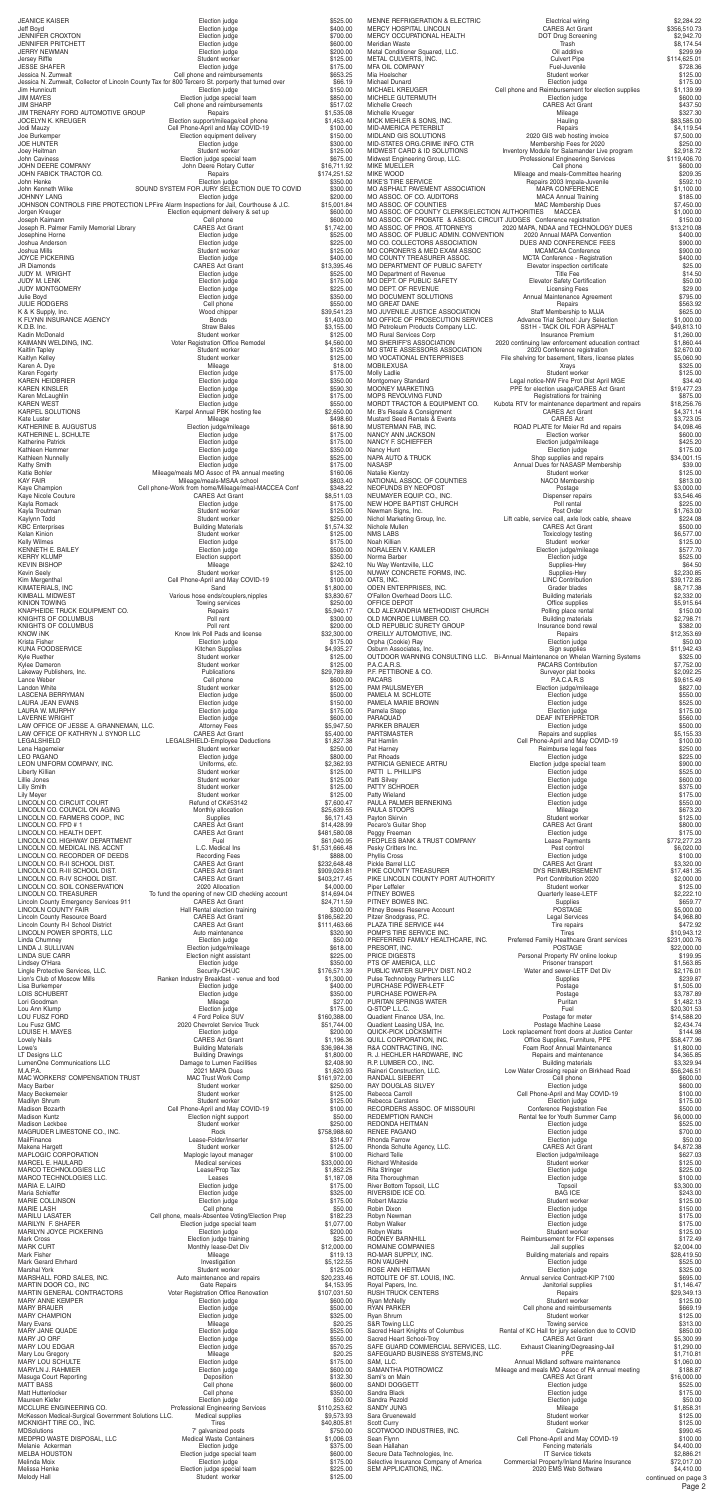LINCOLN CO. R-II SCHOOL DIST. CARES Act Grant \$232,648.48 To fund the opening of new CID checking account \$14,694.04<br>CARES Act Grant \$24,711.59 Election judge \$350.00<br>Security-CH/JC \$176,571.39 2020 Chevrolet Service Truck  $$51,744.00$ <br>Election judge \$200.00 CARES Act Grant Building Drawings 51,800.00<br>Damage to Lumen Facilities \$2,408.90 Student worker Cell Phone-April and May COVID-19 Election judge special team Student worker Professional Engineering Services 7' galvanized posts Student worker

| JEANICE KAISER<br>Jeff Boyd                                                  | Election judge<br>Election judge                                                                        | \$525.00<br>\$400.00                                                                                                                                                                                                                                                                                                                                                                                                                                                   |
|------------------------------------------------------------------------------|---------------------------------------------------------------------------------------------------------|------------------------------------------------------------------------------------------------------------------------------------------------------------------------------------------------------------------------------------------------------------------------------------------------------------------------------------------------------------------------------------------------------------------------------------------------------------------------|
| <b>JENNIFER CROXTON</b>                                                      | Election judge                                                                                          | \$700.00                                                                                                                                                                                                                                                                                                                                                                                                                                                               |
| JENNIFER PRITCHETT<br>JERRY NEWMAN                                           | Election judge<br>Election judge                                                                        | \$600.00<br>\$200.00                                                                                                                                                                                                                                                                                                                                                                                                                                                   |
| Jersey Riffle                                                                | Student worker                                                                                          | \$125.00                                                                                                                                                                                                                                                                                                                                                                                                                                                               |
| <b>JESSE SHAFER</b><br>Jessica N. Zumwalt                                    | Election judge<br>Cell phone and reimbursements                                                         | \$175.00<br>\$653.25                                                                                                                                                                                                                                                                                                                                                                                                                                                   |
|                                                                              | Jessica N. Zumwalt, Collector of Lincoln County Tax for 800 Tercero St. porperty that turned over       | \$66.19                                                                                                                                                                                                                                                                                                                                                                                                                                                                |
| Jim Hunnicutt<br>JIM MAYES                                                   | Election judge                                                                                          | \$150.00<br>\$850.00                                                                                                                                                                                                                                                                                                                                                                                                                                                   |
| <b>JIM SHARP</b>                                                             | Election judge special team<br>Cell phone and reimbursements                                            | \$517.02                                                                                                                                                                                                                                                                                                                                                                                                                                                               |
| JIM TRENARY FORD AUTOMOTIVE GROUP                                            | Repairs                                                                                                 | \$1,535.08                                                                                                                                                                                                                                                                                                                                                                                                                                                             |
| JOCELYN K. KREUGER<br>Jodi Mauzy                                             | Election support/mileage/cell phone<br>Cell Phone-April and May COVID-19                                | \$1,453.40<br>\$100.00                                                                                                                                                                                                                                                                                                                                                                                                                                                 |
| Joe Burkemper                                                                | Election equipment delivery                                                                             | \$150.00                                                                                                                                                                                                                                                                                                                                                                                                                                                               |
| <b>JOE HUNTER</b><br>Joey Heitman                                            | Election judge<br>Student worker                                                                        | \$300.00<br>\$125.00                                                                                                                                                                                                                                                                                                                                                                                                                                                   |
| John Caviness                                                                | Election judge special team                                                                             | \$675.00                                                                                                                                                                                                                                                                                                                                                                                                                                                               |
| JOHN DEERE COMPANY<br>JOHN FABICK TRACTOR CO.                                | John Deere Rotary Cutter                                                                                | \$16,711.92<br>\$174,251.52                                                                                                                                                                                                                                                                                                                                                                                                                                            |
| John Henke                                                                   | Repairs<br>Election judge                                                                               | \$350.00                                                                                                                                                                                                                                                                                                                                                                                                                                                               |
| John Kenneth Wilke                                                           | SOUND SYSTEM FOR JURY SELECTION DUE TO COVID                                                            | \$300.00                                                                                                                                                                                                                                                                                                                                                                                                                                                               |
| <b>JOHNNY LANG</b>                                                           | Election judge<br>JOHNSON CONTROLS FIRE PROTECTION LPFire Alarm Inspections for Jail, Courthouse & J.C. | \$200.00<br>\$15,001.84                                                                                                                                                                                                                                                                                                                                                                                                                                                |
| Jorgen Kreuger                                                               | Election equipment delivery & set up                                                                    | \$600.00                                                                                                                                                                                                                                                                                                                                                                                                                                                               |
| Joseph Kaimann<br>Joseph R. Palmer Family Memorial Library                   | Cell phone<br><b>CARES Act Grant</b>                                                                    | \$600.00<br>\$1,742.00                                                                                                                                                                                                                                                                                                                                                                                                                                                 |
| Josephine Horne                                                              | Election judge                                                                                          | \$525.00                                                                                                                                                                                                                                                                                                                                                                                                                                                               |
| Joshua Anderson<br>Joshua Mills                                              | Election judge<br>Student worker                                                                        | \$225.00<br>\$125.00                                                                                                                                                                                                                                                                                                                                                                                                                                                   |
| <b>JOYCE PICKERING</b>                                                       | Election judge                                                                                          | \$400.00                                                                                                                                                                                                                                                                                                                                                                                                                                                               |
| <b>JR Diamonds</b>                                                           | <b>CARES Act Grant</b>                                                                                  | \$13,395.46                                                                                                                                                                                                                                                                                                                                                                                                                                                            |
| JUDY M. WRIGHT<br>JUDY M. LENK                                               | Election judge<br>Election judge                                                                        | \$525.00<br>\$175.00                                                                                                                                                                                                                                                                                                                                                                                                                                                   |
| JUDY MONTGOMERY                                                              | Election judge                                                                                          | \$225.00                                                                                                                                                                                                                                                                                                                                                                                                                                                               |
| Julie Boyd<br><b>JULIE RODGERS</b>                                           | Election judge<br>Cell phone                                                                            | \$350.00<br>\$550.00                                                                                                                                                                                                                                                                                                                                                                                                                                                   |
| K & K Supply, Inc.                                                           | Wood chipper                                                                                            | \$39,541.23                                                                                                                                                                                                                                                                                                                                                                                                                                                            |
| K FLYNN INSURANCE AGENCY                                                     | <b>Bonds</b>                                                                                            | \$1,403.00                                                                                                                                                                                                                                                                                                                                                                                                                                                             |
| K.D.B. Inc.<br>Kadin McDonald                                                | <b>Straw Bales</b><br>Student worker                                                                    | \$3,155.00<br>\$125.00                                                                                                                                                                                                                                                                                                                                                                                                                                                 |
| KAIMANN WELDING, INC.                                                        | Voter Registration Office Remodel                                                                       | \$4,560.00                                                                                                                                                                                                                                                                                                                                                                                                                                                             |
| Kaitlin Tapley<br>Kaitlyn Kelley                                             | Student worker<br>Student worker                                                                        | \$125.00<br>\$125.00                                                                                                                                                                                                                                                                                                                                                                                                                                                   |
| Karen A. Dye                                                                 | Mileage                                                                                                 | \$18.00                                                                                                                                                                                                                                                                                                                                                                                                                                                                |
| Karen Fogerty                                                                | Election judge                                                                                          | \$175.00                                                                                                                                                                                                                                                                                                                                                                                                                                                               |
| <b>KAREN HEIDBRIER</b><br><b>KAREN KINSLER</b>                               | Election judge<br>Election judge                                                                        | \$350.00<br>\$590.30                                                                                                                                                                                                                                                                                                                                                                                                                                                   |
| Karen McLaughlin                                                             | Election judge                                                                                          | \$175.00                                                                                                                                                                                                                                                                                                                                                                                                                                                               |
| <b>KAREN WEST</b><br><b>KARPEL SOLUTIONS</b>                                 | Election judge<br>Karpel Annual PBK hosting fee                                                         | \$550.00<br>\$2,650.00                                                                                                                                                                                                                                                                                                                                                                                                                                                 |
| Kate Luster                                                                  | Mileage                                                                                                 | \$498.60                                                                                                                                                                                                                                                                                                                                                                                                                                                               |
| KATHERINE B. AUGUSTUS<br>KATHERINE L. SCHULTE                                | Election judge/mileage                                                                                  | \$618.90                                                                                                                                                                                                                                                                                                                                                                                                                                                               |
| <b>Katherine Patrick</b>                                                     | Election judge<br>Election judge                                                                        | \$175.00<br>\$175.00                                                                                                                                                                                                                                                                                                                                                                                                                                                   |
| Kathleen Hemmer                                                              | Election judge                                                                                          | \$350.00                                                                                                                                                                                                                                                                                                                                                                                                                                                               |
| Kathleen Nunnelly<br>Kathy Smith                                             | Election judge<br>Election judge                                                                        | \$525.00<br>\$175.00                                                                                                                                                                                                                                                                                                                                                                                                                                                   |
| Katie Bohler                                                                 | Mileage/meals MO Assoc of PA annual meeting                                                             | \$160.06                                                                                                                                                                                                                                                                                                                                                                                                                                                               |
| <b>KAY FAIR</b><br>Kaye Champion                                             | Mileage/meals-MSAA school<br>Cell phone-Work from home/Mileage/meal-MACCEA Conf                         | \$803.40<br>\$348.22                                                                                                                                                                                                                                                                                                                                                                                                                                                   |
| Kaye Nicole Couture                                                          | <b>CARES Act Grant</b>                                                                                  | \$8,511.03                                                                                                                                                                                                                                                                                                                                                                                                                                                             |
| Kayla Romack                                                                 | Election judge                                                                                          | \$175.00                                                                                                                                                                                                                                                                                                                                                                                                                                                               |
| Kayla Troutman<br>Kaylynn Todd                                               | Student worker<br>Student worker                                                                        | \$125.00<br>\$250.00                                                                                                                                                                                                                                                                                                                                                                                                                                                   |
| <b>KBC</b> Enterprises                                                       | <b>Building Materials</b>                                                                               | \$1,574.32                                                                                                                                                                                                                                                                                                                                                                                                                                                             |
| Kelan Kinion<br><b>Kelly Wilmes</b>                                          | Student worker<br>Election judge                                                                        | \$125.00<br>\$175.00                                                                                                                                                                                                                                                                                                                                                                                                                                                   |
| KENNETH E. BAILEY                                                            | Election judge                                                                                          | \$500.00                                                                                                                                                                                                                                                                                                                                                                                                                                                               |
| <b>KERRY KLUMP</b>                                                           | Election support                                                                                        | \$350.00                                                                                                                                                                                                                                                                                                                                                                                                                                                               |
| <b>KEVIN BISHOP</b><br><b>Kevin Seely</b>                                    | Mileage<br>Student worker                                                                               | \$242.10<br>\$125.00                                                                                                                                                                                                                                                                                                                                                                                                                                                   |
| Kim Mergenthal                                                               | Cell Phone-April and May COVID-19                                                                       | \$100.00                                                                                                                                                                                                                                                                                                                                                                                                                                                               |
| KIMATERIALS, INC<br>KIMBALL MIDWEST                                          | Sand<br>Various hose ends/couplers, nipples                                                             | \$1,800.00<br>\$3,830.67                                                                                                                                                                                                                                                                                                                                                                                                                                               |
| <b>KINION TOWING</b>                                                         | Towing services                                                                                         | \$250.00                                                                                                                                                                                                                                                                                                                                                                                                                                                               |
| KNAPHEIDE TRUCK EQUIPMENT CO.                                                | Repairs<br>Poll rent                                                                                    | \$5,940.17                                                                                                                                                                                                                                                                                                                                                                                                                                                             |
| KNIGHTS OF COLUMBUS<br>KNIGHTS OF COLUMBUS                                   | Poll rent                                                                                               | \$300.00<br>\$200.00                                                                                                                                                                                                                                                                                                                                                                                                                                                   |
| <b>KNOW INK</b>                                                              | Know Ink Poll Pads and license                                                                          | \$32,300.00                                                                                                                                                                                                                                                                                                                                                                                                                                                            |
| Krista Fisher<br><b>KUNA FOODSERVICE</b>                                     | Election judge<br>Kitchen Supplies                                                                      | \$175.00<br>\$4,935.27                                                                                                                                                                                                                                                                                                                                                                                                                                                 |
| Kyle Ruether                                                                 | Student worker                                                                                          | \$125.00                                                                                                                                                                                                                                                                                                                                                                                                                                                               |
| Kylee Dameron<br>Lakeway Publishers, Inc.                                    | Student worker<br>Publications                                                                          | \$125.00                                                                                                                                                                                                                                                                                                                                                                                                                                                               |
| Lance Weber                                                                  | Cell phone                                                                                              | \$29,789.89<br>\$600.00                                                                                                                                                                                                                                                                                                                                                                                                                                                |
| Landon White                                                                 | Student worker                                                                                          | \$125.00                                                                                                                                                                                                                                                                                                                                                                                                                                                               |
| LASCENA BERRYMAN<br>LAURA JEAN EVANS                                         | Election judge<br>Election judge                                                                        | \$500.00<br>\$150.00                                                                                                                                                                                                                                                                                                                                                                                                                                                   |
| LAURA W. MURPHY                                                              | Election judge                                                                                          | \$175.00                                                                                                                                                                                                                                                                                                                                                                                                                                                               |
| <b>LAVERNE WRIGHT</b>                                                        | Election judge                                                                                          | \$600.00                                                                                                                                                                                                                                                                                                                                                                                                                                                               |
| LAW OFFICE OF JESSE A. GRANNEMAN, LLC.<br>LAW OFFICE OF KATHRYN J. SYNOR LLC | <b>Attorney Fees</b><br><b>CARES Act Grant</b>                                                          | \$5,947.50<br>\$5,400.00                                                                                                                                                                                                                                                                                                                                                                                                                                               |
| LEGALSHIELD                                                                  | LEGALSHIELD-Employee Deductions                                                                         | \$1,827.38                                                                                                                                                                                                                                                                                                                                                                                                                                                             |
| Lena Hagemeier<br><b>LEO PAGANO</b>                                          | Student worker<br>Election judge                                                                        | \$250.00<br>\$800.00                                                                                                                                                                                                                                                                                                                                                                                                                                                   |
| LEON UNIFORM COMPANY, INC.                                                   | Uniforms, etc.                                                                                          | \$2,362.93                                                                                                                                                                                                                                                                                                                                                                                                                                                             |
| Liberty Killian<br>Lillie Jones                                              | Student worker<br>Student worker                                                                        | \$125.00                                                                                                                                                                                                                                                                                                                                                                                                                                                               |
| Lilly Smith                                                                  | Student worker                                                                                          | \$125.00<br>\$125.00                                                                                                                                                                                                                                                                                                                                                                                                                                                   |
| Lily Meyer                                                                   | Student worker                                                                                          | \$125.00                                                                                                                                                                                                                                                                                                                                                                                                                                                               |
| LINCOLN CO. CIRCUIT COURT<br>LINCOLN CO. COUNCIL ON AGING                    | Refund of CK#53142<br>Monthly allocation                                                                | \$7,600.47<br>\$25,639.55                                                                                                                                                                                                                                                                                                                                                                                                                                              |
| LINCOLN CO. FARMERS COOP., INC                                               | Supplies                                                                                                | \$6,171.43                                                                                                                                                                                                                                                                                                                                                                                                                                                             |
| LINCOLN CO. FPD #1<br>LINCOLN CO. HEALTH DEPT.                               | <b>CARES Act Grant</b><br><b>CARES Act Grant</b>                                                        | \$14,428.99                                                                                                                                                                                                                                                                                                                                                                                                                                                            |
| LINCOLN CO. HIGHWAY DEPARTMENT                                               | Fuel                                                                                                    | \$481,580.08<br>\$61,040.95                                                                                                                                                                                                                                                                                                                                                                                                                                            |
| LINCOLN CO. MEDICAL INS. ACCNT                                               | L.C. Medical Ins                                                                                        | \$1,531,666.48                                                                                                                                                                                                                                                                                                                                                                                                                                                         |
| LINCOLN CO. RECORDER OF DEEDS<br>LINCOLN CO B ILCOLIOOL DICT                 | <b>Recording Fees</b><br>$\sim$ ADEO A-LO                                                               | \$888.00<br>$\begin{array}{c} \n\text{O} \\ \text{O} \\ \text{O} \\ \text{O} \\ \text{O} \\ \text{O} \\ \text{O} \\ \text{O} \\ \text{O} \\ \text{O} \\ \text{O} \\ \text{O} \\ \text{O} \\ \text{O} \\ \text{O} \\ \text{O} \\ \text{O} \\ \text{O} \\ \text{O} \\ \text{O} \\ \text{O} \\ \text{O} \\ \text{O} \\ \text{O} \\ \text{O} \\ \text{O} \\ \text{O} \\ \text{O} \\ \text{O} \\ \text{O} \\ \text{O} \\ \text{O} \\ \text{O} \\ \text{O} \\ \text{O} \\ \$ |

LINCOLN CO. R-III SCHOOL DIST.<br>
LINCOLN CO. R-III SCHOOL DIST.<br>
LINCOLN CO. R-IV SCHOOL DIST. CARES Act Grant \$403,217.45 LINCOLN CO. R-IV SCHOOL DIST. LINCOLN CO. SOIL CONSERVATION<br>LINCOLN CO. SOIL CONSERVATION<br>LINCOLN CO. TREASURER To fund the opening of new CID checking account \$14,694.04 Lincoln County Emergency Services 911 LINCOLN COUNTY FAIR<br>
LINCOLN COUNTY FAIR<br>
LINCOLN COUNTY FAIR<br>
CARES Act Grant<br>
S186,562.20<br>
S186,562.20 Lincoln County Resource Board CARES Act Grant CARES Act Grant \$186,562.20<br>CARES Act Grant \$111,463.66 \$111,463.66 Lincoln County R-I School District LINCOLN POWER SPORTS, LLC 
<br>
Auto maintenance  $$320.90$ Linda Chumney Election judge \$50.00 LINDA J. SULLIVAN<br>
I INDA SUE CARR<br>
I INDA SUE CARR LINDA SUE CARR SERIES 1925.00<br>
Lindsey O'Hara San Andrew Supplement assistant Election indige contract the state of the S350.00 Lingle Protective Services, LLC. Lion's Club of Moscow Mills **Ranken Industry Breakfast - venue and food** \$1,300.00 Lisa Burkemper Election judge \$400.00 LOIS SCHUBERT Lori Goodman Mileage \$27.00 Lou Ann Klump Election judge \$175.00 LOU FUSZ FORD 4 Ford Police SUV \$160,388.00 Lou Fusz GMC<br>
LOUISE H. MAYES<br>
LOUISE H. MAYES<br>
LOUISE H. MAYES<br>
LOUISE H. MAYES<br>
LOUISE H. MAYES<br>
CARES Act Grant<br>
CARES Act Grant<br>
S1,196.36 Lowe's Building Materials \$36,984.38 LumenOne Communications LLC M.A.P.A. 2021 MAPA Dues \$1,620.93<br>MAC WORKERS' COMPENSATION TRUST MAC Trust Work Comp \$161,972.00 MAC Trust WORKERS' COMPENSATION TRUST<br>Mac WORKERS' COMPENSATION TRUST MAC Trust Work Comp \$161,972.00<br>Macy Barber \$250.00 Macy Beckemeier **Student Worker \$125.00** Student worker \$125.00 Madilyn Shrum Student worker \$125.00 Madison Kuntz Election night support \$50.00 Madison Leckbee Student worker \$250.00 MAGRUDER LIMESTONE CO., INC. MailFinance **1992** S314.97 **Lease-Folder/inserter 1993** S314.97 Makena Hargett Student worker \$125.00<br>MAPLOGIC CORPORATION MADEL MADEL MADEL MARELOGIC CORPORATION MAPLOGIC CORPORATION Maplogic layout manager \$100.00 MARCEL E. HAULARD Medical services \$33,000.00 MARCO TECHNOLOGIES LLC Lease/Prop Tax \$1,852.25 MARCO TECHNOLOGIES LLC. Leases \$1,187.08 MARIA E. LAIRD \$175.00 Maria Schieffer Election judge \$325.00 MARIE COLLINSON MARIE LASH Cell phone \$50.00 MARILU LASATER Cell phone, meals-Absentee Voting/Election Prep \$182.23<br>MARILYN F. SHAFER Election judge special team \$1,077.00 MARILYN JOYCE PICKERING **Election** indee Election judge \$200.00 Mark Cross Election judge training \$25.00 MARK CURT Monthly lease-Det Div \$12,000.00 Mileage Mark Fisher \$119.13<br>Mark Gerard Ehrhard Mark Cerard Ehrhard Mark Gerard Ehrhard St., 122.55 Mark Gerard Ehrhard Investigation \$5,122.55 MARSHALL FORD SALES, INC. <br>
Auto maintenance and repairs  $$20,233.46$ MARTIN DOOR CO., INC<br>MARTIN GENERAL CONTRACTORS COMENTER CONTRACTORS COMENTER CONTRACTORS COMENTER CONTRACTORS COMENTER CONTRACTORS COMEN<br>MARTIN GENERAL CONTRACTORS Voter Registration Office Renovation \$107,031.50 MARTIN GENERAL CONTRACTORS MARY ANNE KEMPER **ELECTION** Election judge **Election in the SECOLOGY** \$600.00 MARY BRAUER S500.00<br>MARY CHAMPION CONSULTER SAND FEED Election judge CHAMPION S325.00 MARY CHAMPION Mary Evans Mileage \$20.25 MARY JANE QUADE Election judge \$525.00 MARY JO ORF \$550.00 MARY LOU EDGAR SETO.<br>Marv Lou Gregory States of the Control of the Mileage Mileage Mileage S20.25 Mary Lou Gregory Mileage \$20.25 MARY LOU SCHULTE Election judge \$175.00 MARYLN J. RAHMIER **Election** judge **Election judge** \$600.00 Masuga Court Reporting Deposition \$132.30<br>MATT BASS Cell phone \$600.00 MATT BASS Matt Huttenlocker **Cell phone** \$350.00 Maureen Kiefer Sto.00<br>MCCLURE ENGINEERING CO. The Store of Professional Engineering Services \$110,253.62 McKesson Medical-Surgical Government Solutions LLC. Medical supplies \$9,573.93 MCKNIGHT TIRE CO., INC. Tires Tires \$40,805.81<br>MDSolutions \$40,805.81 Tres \$40,805.81 MEDPRO WASTE DISPOSAL, LLC Medical Waste Containers \$1,006.03<br>Melanie Ackerman Blection indge Election indge special team \$375.00<br>MELBA HOUSTON Blection indge special team \$600.00 Melanie Ackerman Election judge \$375.00 MELBA HOUSTON Election judge special team states that the \$600.00 \$600.00 Melinda Moix **Election judge 175.00** Election judge **175.00** Melissa Henke Election judge special team \$225.00

Page 2 PIKE COUNTY TREASURER DYS REIMBURSEMENT \$17,481.35 PIKE LINCOLN COUNTY PORT AUTHORITY Port Contribution 2020 \$2,000.00 Piper Leffeler \$125.00<br>PITNEY BOWES Super Left Student Worker \$125.00<br>Cuarterly lease-LETF \$2,222.10 Puarterly lease-LETF \$2,222.10<br>
Supplies \$659.77 PITNEY BOWES INC. Supplies \$659.77 Pitney Bowes Reserve Account **POSTAGE POSTAGE** \$5,000.00 Pitzer Snodgrass, P.C. Legal Services \$4,968.80 PLAZA TIRE SERVICE #44 The series of the series of the series of the series of the series of the series of the series of the series of the series of the series of the series of the series of the series of the series of the POMP'S TIRE SERVICE INC. The state of the state of the state of the state of the state of the state of the state of the state of the state of the state of the state of the state of the state of the state of the state of th PREFERRED FAMILY HEALTHCARE, INC. Preferred Family Healthcare Grant services \$231,000.76 PRESORT, INC. POSTAGE \$22,000.00 PRICE DIGESTS **STAR SET SEE A PERICE DIGESTS** PERSONAL PRICE DIGESTS **PRICE DIGESTS PERICE DIGESTS PERICE PRICE PRICE PRICE PRICE PRICE PRICE PRICE PRICE PRICE PRICE PRICE PRICE PRICE PRICE PRICE PRICE PRICE PRICE PRIC** PTS OF AMERICA, LLC<br>PTS OF AMERICA, LLC<br>PUBLIC WATER SUPPLY DIST. NO.2 Water and sewer-LETF Det Div \$2,176.01 PUBLIC WATER SUPPLY DIST. NO.2 Pulse Technology Partners LLC and the Supplies of Supplies the Supplies of Supplies  $$239.87$ PURCHASE POWER-LETF POSTAGE AND RESERVE POSTAGE POWER-LETT POSTAGE AND RESERVE POSTAGE POWER-LETT PURCHASE POWER-PA **POSTAGE POWER-PRANDIC** CONSUMING POSTAGE POWER-PA PURITAN SPRINGS WATER **PURITAN SPRINGS** WATER CONSIDERING CONSIDER THE CONSIDERED ENGINEERING CONSIDER THE SECTION CONSIDERED SECTION CONSIDERED SECTION CON<br>Quadient Finance USA, Inc. The Prostage for meter that the state state of the S14,588.20 Quadient Finance USA, Inc. <br>
Quadient Leasing USA, Inc. Postage Machine Lease (Postage Machine Lease Quadient Leasing USA, Inc. Postage Machine Lease \$2,434.74 QUICK-PICK LOCKSMITH Lock replacement front doors at Justice Center \$144.98<br>QUILL CORPORATION, INC. CORPORATION CONSERVER CORPORATION, INC. Office Supplies, Furniture, PPE R&A CONTRACTING, INC. The Solution of Annual Maintenance Theory 31,800.00 R. J. HECHLER HARDWARE, INC **Repairs and maintenance** \$4,365.85 R.P. LUMBER CO., INC. The contract of the contract of the Building materials the state of the state  $$3,329.94$ Low Water Crossing repair on Birkhead Road \$56,246.51 RANDALL SIEBERT Cell phone \$600.00 RAY DOUGLAS SILVEY Rebecca Carroll **Cell Phone-April and May COVID-19** \$100.00<br>Rebecca Carstens **175.00 Clection** udge **Election** in the state state state Election judge \$175.00<br>Conference Registration Fee \$500.00 RECORDERS ASSOC. OF MISSOURI REDEMPTION RANCH **Rental fee for Youth Summer Camp** \$6,000.00 REDONDA HEITMAN ELECTRIC CONFIDENTIES AND RESEARCH CONFIDENTIES CONFIDENTIES ON THE SECTION CONFIDENTIES CONFI<br>RENEE PAGANO Election judge 5700.00 RENEE PAGANO Rhonda Farrow **Election judge 1996**<br>Rhonda Schulte Agency, LLC. **1996**<br>CARES Act Grant 1996 1997-2.38 Rhonda Schulte Agency, LLC. <br>Richard Telle (1894) States and the CARES Act Grant (1894) States and the S627.03 Election judge/mileage Richard Whiteside **Student worker** Student worker \$125.00 Rita Stringer Election judge \$225.00 Rita Thoroughman Election judge \$100.00 River Bottom Topsoil, LLC Topsoil \$3,300.00 RIVERSIDE ICE CO. BAG ICE \$243.00 Student worker Robin Dixon **Channel Communist Communist Communist Communist Communist Communist Communist Communist Communist Communist Communist Communist Communist Communist Communist Communist Communist Communist Communist Communist C** Robyn Newman Election judge \$175.00 Election judge Robyn Watts \$125.00<br>RODNEY BARNHILL **Authority Student Water Student Worker \$125.00**<br>
Reimbursement for FCI expenses Reimbursement for FCI expenses \$172.49<br>Jail supplies \$2,004.00 ROMAINE COMPANIES<br>RO-MAR SUPPLY, INC. Building materials and repairs \$28,419.50 RON VAUGHN Election judge \$525.00 ROSE ANN HEITMAN ROTOLITE OF ST. LOUIS, INC. Annual service Contract-KIP 7100 \$695.00 Royal Papers, Inc. Janitorial supplies \$1,146.47 RUSH TRUCK CENTERS THE REPAIRS REPAIRS TO REPAIR SEEN THE REPAIRS TO A 49-13 S29,349.13 Ryan McNelly \$125.00<br>RYAN PARKER \$669.19<br>
Cell phone and reimbursements \$669.19 RÝAN PARKÉR SEG9.19<br>Ryan Shrum Student worker Student worker Student worker \$125.00 Ryan Shrum Student worker \$125.00 S&R Towing LLC **The Contract of Struck Towing service** the Struck Struck Struck Struck Struck Struck Struck Struck Rental of KC Hall for jury selection due to COVID \$850.00<br>CARES Act Grant \$5,300.99 Sacred Heart School-Troy CARES Act Grant \$5,300.99 SAFE GUARD COMMERCIAL SERVICES, LLC. Exhaust Cleaning/Degreasing-Jail \$1,290.00 SAFEGUARD BUSINESS SYSTEMS,INC PPE \$1,710.81 SAM, LLC. \$1,060.00<br>SAMANTHA PIOTROWICZ Mileage and meals MO Assoc of PA annual meeting \$1,060.00 SAMANTHA PIOTROWICZ Mileage and meals MO Assoc of PA annual meeting \$188.87 Sami's on Main CARES Act Grant \$16,000.00 SANDI DOGGETT SANDI DOGGETT SANDI DOGGETT SANDI DOGGETT SANDI DOGGETT SANDI DOGGETT SANDI DOGGETT SANDI DOGGETT Sandra Black **Sandra Black Election judge Election judge \$175.00** Sandra Pezold \$50.00 \$1,858.31 \$1,858.31 \$1,858.31 \$1,858.31 \$1,858.31 \$1,858.31 \$1,858.31 \$1,858.31 \$1,858.31 \$1,858.31 \$1,858.31 \$1,858.31 \$1,858.31 \$1,858.31 \$1,858.31 \$1,858.31 \$1,858.31 \$1,858.31 \$1,858.31 \$1,858.31 \$ SANDY JUNG Sara Gruenewald **Student Worker Student worker** \$125.00 Scott Curry Student worker \$125.00<br>SCOTWOOD INDUSTRIES, INC. The Second SCOTWOOD INDUSTRIES, INC. SCOTWOOD INDUSTRIES, INC.<br>Sean Flynn<br>Sean Hallahan Cell Phone-April and May COVID-19 \$100.00 Fencing materials \$4,400.00<br>
IT Service tickets \$2,886.21 Secure Data Technologies, Inc.<br>Selective Insurance Company of America<br>SEM APPLICATIONS, INC. Selective Insurance Company of America Commercial Property/Inland Marine Insurance \$72,017.00 SEM APPLICATIONS, INC. 2020 EMS Web Software \$4,410.00 continued on page 3

| MENNE REFRIGERATION & ELECTRIC<br>MERCY HOSPITAL LINCOLN                 | Electrical wiring<br><b>CARES Act Grant</b>                                                            | \$2,284.22<br>\$356,510.73 |
|--------------------------------------------------------------------------|--------------------------------------------------------------------------------------------------------|----------------------------|
| MERCY OCCUPATIONAL HEALTH                                                | DOT Drug Screening                                                                                     | \$2,942.70                 |
| Meridian Waste<br>Metal Conditioner Squared, LLC.                        | Trash<br>Oil additive                                                                                  | \$8,174.54<br>\$299.99     |
| METAL CULVERTS, INC.                                                     | <b>Culvert Pipe</b>                                                                                    | \$114,625.01               |
| MFA OIL COMPANY<br>Mia Hoelscher                                         | Fuel-Juvenile<br>Student worker                                                                        | \$728.36<br>\$125.00       |
| Michael Dunard                                                           | Election judge                                                                                         | \$175.00                   |
| MICHAEL KREUGER<br>MICHELE GUTERMUTH                                     | Cell phone and Reimbursement for election supplies<br>Election judge                                   | \$1,139.99<br>\$600.00     |
| Michelle Creech                                                          | <b>CARES Act Grant</b>                                                                                 | \$437.50                   |
| Michelle Krueger<br>MICK MEHLER & SONS, INC.                             | Mileage<br>Hauling                                                                                     | \$327.30<br>\$83,585.00    |
| MID-AMERICA PETERBILT                                                    | Repairs                                                                                                | \$4,119.54                 |
| MIDLAND GIS SOLUTIONS<br>MID-STATES ORG.CRIME INFO. CTR                  | 2020 GIS web hosting invoice<br>Membership Fees for 2020                                               | \$7,500.00<br>\$250.00     |
| MIDWEST CARD & ID SOLUTIONS                                              | Inventory Module for Salamander Live program                                                           | \$2,918.72                 |
| Midwest Engineering Group, LLC.<br>MIKE MUELLER                          | <b>Professional Engineering Services</b><br>Cell phone                                                 | \$119,406.70<br>\$600.00   |
| MIKE WOOD                                                                | Mileage and meals-Committee hearing                                                                    | \$209.35                   |
| MIKE'S TIRE SERVICE<br>MO ASPHALT PAVEMENT ASSOCIATION                   | Repairs 2003 Impala-Juvenile<br><b>MAPA CONFERENCE</b>                                                 | \$592.10<br>\$1,100.00     |
| MO ASSOC. OF CO. AUDITORS                                                | <b>MACA Annual Training</b>                                                                            | \$185.00                   |
| MO ASSOC. OF COUNTIES<br>MO ASSOC. OF COUNTY CLERKS/ELECTION AUTHORITIES | <b>MAC Membership Dues</b><br><b>MACCEA</b>                                                            | \$7,450.00                 |
| MO ASSOC. OF PROBATE & ASSOC. CIRCUIT JUDGES Conference registration     |                                                                                                        | \$1,000.00<br>\$150.00     |
| MO ASSOC. OF PROS. ATTORNEYS                                             | 2020 MAPA, NDAA and TECHNOLOGY DUES                                                                    | \$13,210.08                |
| MO ASSOC. OF PUBLIC ADMIN. CONVENTION<br>MO CO. COLLECTORS ASSOCIATION   | 2020 Annual MAPA Convention<br>DUES AND CONFERENCE FEES                                                | \$400.00<br>\$900.00       |
| MO CORONER'S & MED EXAM ASSOC                                            | <b>MCAMCAA Conference</b>                                                                              | \$900.00                   |
| MO COUNTY TREASURER ASSOC.<br>MO DEPARTMENT OF PUBLIC SAFETY             | MCTA Conference - Registration<br>Elevator inspection certificate                                      | \$400.00<br>\$25.00        |
| <b>MO Department of Revenue</b>                                          | <b>Title Fee</b>                                                                                       | \$14.50                    |
| MO DEPT. OF PUBLIC SAFETY<br>MO DEPT. OF REVENUE                         | <b>Elevator Safety Certification</b><br><b>Licensing Fees</b>                                          | \$50.00<br>\$29.00         |
| MO DOCUMENT SOLUTIONS                                                    | Annual Maintenance Agreement                                                                           | \$795.00                   |
| MO GREAT DANE<br>MO JUVENILE JUSTICE ASSOCIATION                         | Repairs<br>Staff Membership to MJJA                                                                    | \$563.92<br>\$625.00       |
| MO OFFICE OF PROSECUTION SERVICES                                        | Advance Trial School: Jury Selection                                                                   | \$1,000.00                 |
| MO Petroleum Products Company LLC.<br>MO Rural Services Corp             | SS1H - TACK OIL FOR ASPHALT<br>Insurance Premium                                                       | \$49,813.10<br>\$1,260.00  |
| MO SHERIFF'S ASSOCIATION                                                 | 2020 continuing law enforcement education contract                                                     | \$1,860.44                 |
| MO STATE ASSESSORS ASSOCIATION<br>MO VOCATIONAL ENTERPRISES              | 2020 Conference registration<br>File shelving for basement, filters, license plates                    | \$2,670.00<br>\$5,060.90   |
| MOBILEXUSA                                                               | Xrays                                                                                                  | \$325.00                   |
| Molly Ladlie<br>Montgomery Standard                                      | Student worker<br>Legal notice-NW Fire Prot Dist April MGE                                             | \$125.00<br>\$34.40        |
| MOONEY MARKETING                                                         | PPE for election usage/CARES Act Grant                                                                 | \$19,477.23                |
| MOPS REVOLVING FUND<br>MORDT TRACTOR & EQUIPMENT CO.                     | Registrations for training<br>Kubota RTV for maintenance department and repairs                        | \$875.00<br>\$18,256.76    |
| Mr. B's Resale & Consignment                                             | <b>CARES Act Grant</b>                                                                                 | \$4,371.14                 |
| Mustard Seed Rentals & Events<br>MUSTERMAN FAB, INC.                     | <b>CARES Act</b><br>ROAD PLATE for Meier Rd and repairs                                                | \$3,723.05                 |
| NANCY ANN JACKSON                                                        | Election worker                                                                                        | \$4,098.46<br>\$600.00     |
| NANCY F. SCHIEFFER                                                       | Election judge/mileage                                                                                 | \$425.20                   |
| Nancy Hunt<br>NAPA AUTO & TRUCK                                          | Election judge<br>Shop supplies and repairs                                                            | \$1/5.00<br>\$34,001.15    |
| NASASP                                                                   | Annual Dues for NASASP Membership                                                                      | \$39.00                    |
| Natalie Kientzy<br>NATIONAL ASSOC. OF COUNTIES                           | Student worker<br>NACO Membership                                                                      | \$125.00<br>\$813.00       |
| NEOFUNDS BY NEOPOST                                                      | Postage                                                                                                | \$3,000.00                 |
| NEUMAYER EQUIP. CO., INC.<br>NEW HOPE BAPTIST CHURCH                     | Dispenser repairs<br>Poll rental                                                                       | \$3,546.46<br>\$225.00     |
| Newman Signs, Inc.                                                       | Post Order                                                                                             | \$1,763.00                 |
| Nichol Marketing Group, Inc.<br>Nichole Mullen                           | Lift cable, service call, axle lock cable, sheave<br><b>CARES Act Grant</b>                            | \$224.08<br>\$500.00       |
| NMS LABS                                                                 | <b>Toxicology testing</b>                                                                              | \$6,577.00                 |
| Noah Killian<br>NORALEEN V. KAMLER                                       | Student worker<br>Election judge/mileage                                                               | \$125.00<br>\$577.70       |
| Norma Barber                                                             | Election judge                                                                                         | \$525.00                   |
| Nu Way Wentzville, LLC<br>NUWAY CONCRETE FORMS, INC.                     | Supplies-Hwy<br>Supplies-Hwy                                                                           | \$64.50<br>\$2,230.85      |
| OATS, INC.                                                               | <b>LINC Contribution</b>                                                                               | \$39,172.85                |
| ODEN ENTERPRISES, INC.<br>O'Fallon Overhead Doors LLC.                   | Grader blades<br><b>Building materials</b>                                                             | \$8,717.38<br>\$2,332.00   |
| OFFICE DEPOT                                                             | Office supplies                                                                                        | \$5,915.64                 |
| OLD ALEXANDRIA METHODIST CHURCH<br>OLD MONROE LUMBER CO.                 | Polling place rental<br><b>Building materials</b>                                                      | \$150.00<br>\$2,798.71     |
| OLD REPUBLIC SURETY GROUP                                                | Insurance bond rewal                                                                                   | \$382.00                   |
| O'REILLY AUTOMOTIVE, INC.<br>Orpha (Cookie) Ray                          | Repairs<br>Election judge                                                                              | \$12,353.69<br>\$50.00     |
| Osburn Associates, Inc.                                                  | Sign supplies                                                                                          | \$11,942.43                |
| P.A.C.A.R.S.                                                             | OUTDOOR WARNING CONSULTING LLC. Bi-Annual Maintenance on Whelan Warning Systems<br>PACARS Contribution | \$325.00<br>\$7,752.00     |
| P.F. PETTIBONE & CO.                                                     | Surveyor plat books                                                                                    | \$2,092.25                 |
| PACARS<br>PAM PAULSMEYER                                                 | P.A.C.A.R.S<br>Election judge/mileage                                                                  | \$9,615.49<br>\$827.00     |
| PAMELA M. SCHLOTE                                                        | Election judge                                                                                         | \$550.00                   |
| PAMELA MARIE BROWN<br>Pamela Stepp                                       | Election judge<br>Election judge                                                                       | \$525.00<br>\$175.00       |
| PARAQUAD                                                                 | <b>DEAF INTERPRETOR</b>                                                                                | \$560.00                   |
| PARKER BRAUER<br>PARTSMASTER                                             | Election judge                                                                                         | \$500.00<br>\$5,155.33     |
| Pat Hamlin                                                               | Repairs and supplies<br>Cell Phone-April and May COVID-19                                              | \$100.00                   |
| Pat Harney<br>Pat Rhoads                                                 | Reimburse legal fees                                                                                   | \$250.00<br>\$225.00       |
| PATRICIA GENIECE ARTRU                                                   | Election judge<br>Election judge special team                                                          | \$900.00                   |
| PATTI L. PHILLIPS                                                        | Election judge                                                                                         | \$525.00                   |
| Patti Silvey<br>PATTY SCHROER                                            | Election judge<br>Election judge                                                                       | \$600.00<br>\$375.00       |
| Patty Wieland                                                            | Election judge                                                                                         | \$175.00                   |
| PAULA PALMER BERNEKING<br>PAULA STOOPS                                   | Election judge<br>Mileage                                                                              | \$550.00<br>\$673.20       |
| Payton Skirvin                                                           | Student worker                                                                                         | \$125.00                   |
| Pecaro's Guitar Shop<br>Peggy Freeman                                    | <b>CARES Act Grant</b><br>Election judge                                                               | \$800.00<br>\$175.00       |
| PEOPLES BANK & TRUST COMPANY                                             | <b>Lease Payments</b>                                                                                  | \$772,277.23               |
| Pesky Critters Inc.<br><b>Phyllis Cross</b>                              | Pest control<br>Election judge                                                                         | \$6,020.00<br>\$100.00     |
| Pickle Barrel LLC                                                        | <b>CARES Act Grant</b>                                                                                 | \$3,320.00                 |
| PIKE COUNTY TREASURER                                                    | DYS REIMBURSEMENT                                                                                      | \$17,481.35                |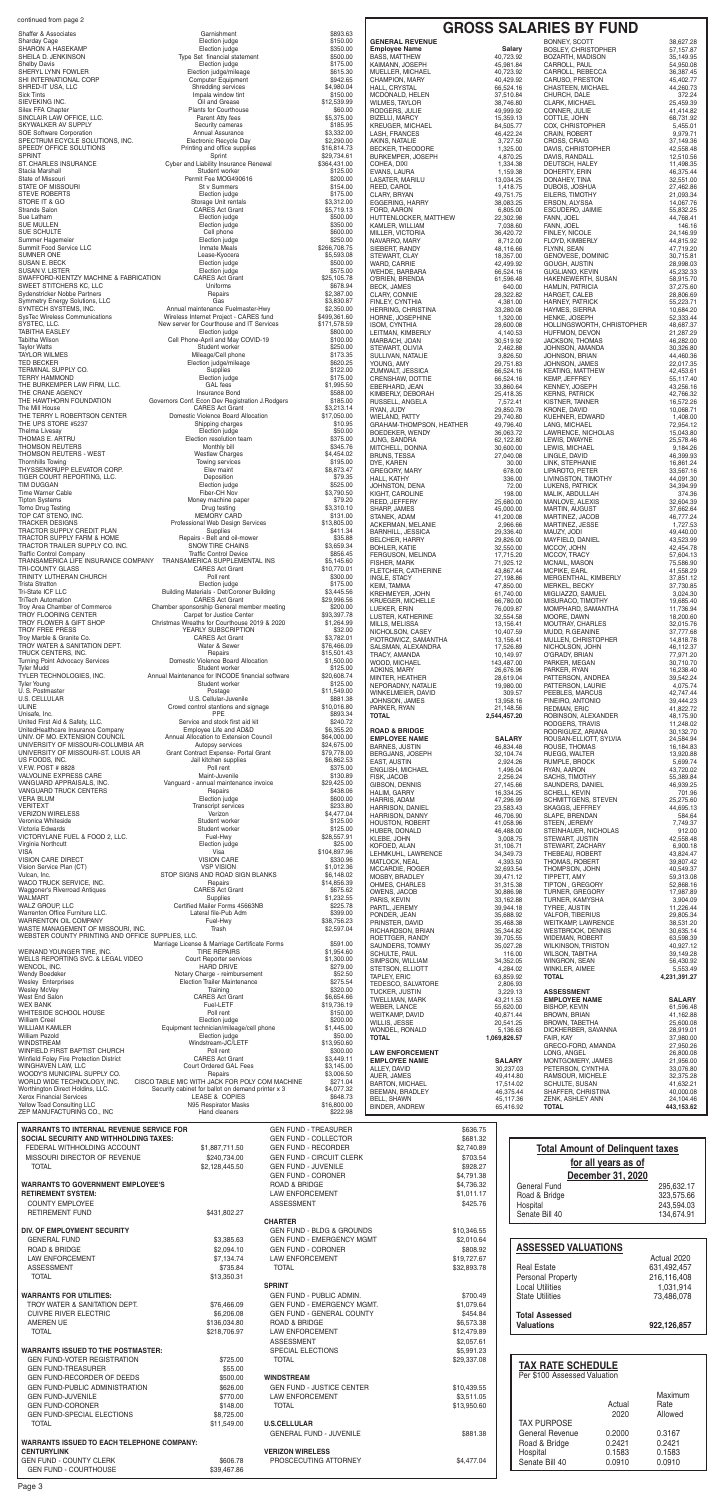# **GENERAL REVENUE ROAD & BRIDGE**

| $O(1000 \times 1000)$<br><b>Sharday Cage</b><br><b>SHARON A HASEKAMP</b>                | Election judge<br>Election judge                                                                    | しつつ・つつ<br>\$150.00<br>\$350.00                                           | <b>GENERAL REVENUE</b><br><b>Employee Name</b>   |                            | <b>BONNEY, SCOTT</b><br><b>BOSLEY, CHRISTOPHER</b><br><b>Salary</b> |                                         | 38,627.28<br>57, 157.87    |
|-----------------------------------------------------------------------------------------|-----------------------------------------------------------------------------------------------------|--------------------------------------------------------------------------|--------------------------------------------------|----------------------------|---------------------------------------------------------------------|-----------------------------------------|----------------------------|
| SHEILA D. JENKINSON<br><b>Shelby Davis</b>                                              | Type Set financial statement<br>Election judge                                                      | \$500.00<br>\$175.00                                                     | <b>BASS, MATTHEW</b><br>KAIMANN, JOSEPH          | 40,723.92<br>45,981.84     | BOZARTH, MADISON<br>CARROLL, PAUL                                   |                                         | 35,149.95<br>54,950.08     |
| SHERYL LYNN FOWLER<br>SHI INTERNATIONAL CORP                                            | Election judge/mileage<br><b>Computer Equipment</b>                                                 | \$615.30<br>\$942.65                                                     | MUELLER, MICHAEL<br>CHAMPION, MARY               | 40,723.92<br>40,429.92     | CARROLL, REBECCA<br>CARUSO, PRESTON                                 |                                         | 36,387.45<br>45,402.77     |
| SHRED-IT USA, LLC<br><b>Sick Tints</b>                                                  | Shredding services<br>Impala window tint                                                            | \$4,980.04<br>\$150.00                                                   | HALL, CRYSTAL<br>MCDONALD, HELEN                 | 66,524.16<br>37,510.84     | <b>CHASTEEN, MICHAEL</b><br>CHURCH, DALE                            |                                         | 44,260.73<br>372.24        |
| SIEVEKING INC.<br>Silex FFA Chapter                                                     | Oil and Grease<br><b>Plants for Courthouse</b>                                                      | \$12,539.99<br>\$60.00                                                   | <b>WILMES, TAYLOR</b><br>RODGERS, JULIE          | 38,746.80<br>49,999.92     | CLARK, MICHAEL<br>CONNER, JULIE                                     |                                         | 25,459.39<br>41,414.82     |
| SINCLAIR LAW OFFICE, LLC.<br>SKYWALKER AV SUPPLY                                        | Parent Atty fees<br>Security cameras                                                                | \$5,375.00<br>\$185.95                                                   | <b>BIZELLI, MARCY</b><br><b>KREUGER, MICHAEL</b> | 15,359.13<br>84,505.77     | COTTLE, JOHN<br>COX, CHRISTOPHER                                    |                                         | 68,731.92<br>5,455.01      |
| SOE Software Corporation<br>SPECTRUM ECYCLE SOLUTIONS, INC.                             | Annual Assurance<br>Electronic Recycle Day                                                          | \$3,332.00<br>\$2,290.00                                                 | <b>LASH, FRANCES</b><br>AKINS, NATALIE           | 46,422.24<br>3,727.50      | <b>CRAIN, ROBERT</b><br>CROSS, CRAIG                                |                                         | 9,979.71<br>37,149.36      |
| SPEEDY OFFICE SOLUTIONS<br><b>SPRINT</b>                                                | Printing and office supplies<br>Sprint                                                              | \$16,814.73<br>\$29,734.61                                               | <b>BECKER, THEODORE</b><br>BURKEMPER, JOSEPH     | 1,325.00<br>4,870.25       | DAVIS, CHRISTOPHER<br>DAVIS, RANDALL                                |                                         | 42,558.48<br>12,510.56     |
| ST. CHARLES INSURANCE<br>Stacia Marshall                                                | Cyber and Liability Insurance Renewal<br>Student worker                                             | \$364,431.00<br>\$125.00                                                 | COHEA, DIXI<br>EVANS, LAURA                      | 1,334.38<br>1,159.38       | DEUTSCH, HALEY<br>DOHERTY, ERIN                                     |                                         | 11,498.35<br>46,375.44     |
| State of Missouri<br><b>STATE OF MISSOURI</b>                                           | Permit Fee MOG490616<br>St v Summers                                                                | \$200.00<br>\$154.00                                                     | LASATER, MARILU<br>REED, CAROL                   | 13,034.25<br>1,418.75      | DONAHEY, TINA<br>DUBOIS, JOSHUA                                     |                                         | 32,551.00<br>27,462.86     |
| <b>STEVE ROBERTS</b><br>STORE IT & GO                                                   | Election judge<br>Storage Unit rentals                                                              | \$175.00<br>\$3,312.00                                                   | CLARY, BRYAN<br><b>EGGERING, HARRY</b>           | 49,751.75<br>38,083.25     | EILERS, TIMOTHY<br>ERSON, ALYSSA                                    |                                         | 21,093.34<br>14,067.76     |
| <b>Strands Salon</b><br>Sue Latham                                                      | <b>CARES Act Grant</b><br>Election judge                                                            | \$5,719.13<br>\$500.00                                                   | FORD, AARON<br>HUTTENLOCKER, MATTHEW             | 6,805.00<br>22,302.98      | ESCUDERO, JAIMIE<br>FANN, JOEL                                      |                                         | 55,832.25<br>44,768.41     |
| <b>SUE MULLEN</b><br>SUE SCHULTE                                                        | Election judge<br>Cell phone                                                                        | \$350.00<br>\$600.00                                                     | KAMLER, WILLIAM                                  | 7,038.60                   | <b>FANN. JOEL</b>                                                   |                                         | 146.16                     |
| Summer Hagemeier                                                                        | Election judge                                                                                      | \$250.00                                                                 | MILLER, VICTORIA<br>NAVARRO, MARY                | 36,420.72<br>8,712.00      | FINLEY, NICOLE<br>FLOYD, KIMBERLY                                   |                                         | 24,146.99<br>44,815.92     |
| Summit Food Service LLC<br>SUMNER ONE                                                   | <b>Inmate Meals</b><br>Lease-Kyocera                                                                | \$266,708.75<br>\$5,593.08                                               | SIEBERT, RANDY<br>STEWART, CLAY                  | 48,116.66<br>18,357.00     | FLYNN, SEAN<br>GENOVESE, DOMINIC                                    |                                         | 47.719.20<br>30,715.81     |
| SUSAN E. BECK<br><b>SUSAN V. LISTER</b>                                                 | Election judge<br>Election judge                                                                    | \$500.00<br>\$575.00                                                     | WARD, CARRIE<br>WEHDE, BARBARA                   | 42,499.92<br>66,524.16     | GOUGH, AUSTIN<br><b>GUGLIANO, KEVIN</b>                             |                                         | 28,998.03<br>45.232.33     |
| SWAFFORD-KIENTZY MACHINE & FABRICATION<br>SWEET STITCHERS KC. LLC                       | <b>CARES Act Grant</b><br>Uniforms                                                                  | \$25,105.78<br>\$678.94                                                  | O'BRIEN, BRENDA<br><b>BECK, JAMES</b>            | 61,596.48                  | HAKENEWERTH, SUSAN<br>640.00<br><b>HAMLIN, PATRICIA</b>             |                                         | 58,915.70<br>37,275.60     |
| Sydenstricker Nobbe Partners<br><b>Symmetry Energy Solutions, LLC</b>                   | Repairs<br>Gas                                                                                      | \$2,387.00<br>\$3,830.87                                                 | CLARY, CONNIE<br>FINLEY, CYNTHIA                 | 28,322.82<br>4,381.00      | HARGET, CALEB<br>HARNEY, PATRICK                                    |                                         | 28,806.69<br>55,223.71     |
| SYNTECH SYSTEMS, INC.<br><b>SysTec Wireless Communications</b>                          | Annual maintenance Fuelmaster-Hwy<br>Wireless Internet Project - CARES fund                         | \$2,350.00<br>\$499,361.60                                               | <b>HERRING, CHRISTINA</b><br>HORNE, JOSEPHINE    | 33,280.08<br>1,320.00      | HAYMES, SIERRA<br>HENKE, JOSEPH                                     |                                         | 10,684.20<br>52,333.44     |
| SYSTEC, LLC.<br><b>TABITHA EASLEY</b>                                                   | New server for Courthouse and IT Services<br>Election judge                                         | \$171,578.59<br>\$800.00                                                 | ISOM, CYNTHIA<br>LEITMAN, KIMBERLY               | 28,600.08<br>4,140.53      | HUFFMON, DEVON                                                      | HOLLINGSWORTH, CHRISTOPHER              | 48,687.37<br>21,287.29     |
| <b>Tabitha Wilson</b><br><b>Taylor Watts</b>                                            | Cell Phone-April and May COVID-19<br>Student worker                                                 | \$100.00<br>\$250.00                                                     | MARBACH, JOAN<br>STEWART, OLIVIA                 | 30,519.92<br>2,462.88      | <b>JACKSON, THOMAS</b><br>JOHNSON, AMANDA                           |                                         | 46,282.00<br>30,326.80     |
| <b>TAYLOR WILMES</b><br><b>TED BECKER</b>                                               | Mileage/Cell phone<br>Election judge/mileage                                                        | \$173.35<br>\$620.25                                                     | SULLIVAN, NATALIE<br>YOUNG, AMY                  | 3,826.50<br>29,751.83      | <b>JOHNSON, BRIAN</b><br><b>JOHNSON, JAMES</b>                      |                                         | 44,460.36<br>22,017.35     |
| TERMINAL SUPPLY CO.<br><b>TERRY HAMMOND</b>                                             | <b>Supplies</b><br>Election judge                                                                   | \$122.00<br>\$175.00                                                     | ZUMWALT, JESSICA                                 | 66,524.16                  | <b>KEATING, MATTHEW</b>                                             |                                         | 42,453.61                  |
| THE BURKEMPER LAW FIRM, LLC.                                                            | <b>GAL</b> fees                                                                                     | \$1,995.50                                                               | CRENSHAW, DOTTIE<br>EBERHARD, JEAN               | 66,524.16<br>33,860.64     | <b>KEMP, JEFFREY</b><br><b>KENNEY, JOSEPH</b>                       |                                         | 55,117.40<br>43,256.16     |
| THE CRANE AGENCY<br>THE HAWTHORN FOUNDATION                                             | <b>Insurance Bond</b><br>Governors Conf. Econ Dev Registration J.Rodgers                            | \$588.00<br>\$185.00                                                     | KIMBERLY, DEBORAH<br>RUSSELL, ANGELA             | 25,418.35<br>7,572.41      | <b>KERNS, PATRICK</b><br>KISTNER, TANNER                            |                                         | 42,766.32<br>16,572.26     |
| The Mill House<br>THE TERRY L ROBERTSON CENTER                                          | <b>CARES Act Grant</b><br>Domestic Violence Board Allocation                                        | \$3,213.14<br>\$17,050.00                                                | RYAN, JUDY<br><b>WIELAND, PATTY</b>              | 29,850.78<br>29,740.80     | <b>KRONE, DAVID</b><br>KUEHNER, EDWARD                              |                                         | 10,068.71<br>1,408.00      |
| THE UPS STORE #5237<br>Thelma Livesay                                                   | Shipping charges<br>Election judge                                                                  | \$10.95<br>\$50.00                                                       | GRAHAM-THOMPSON, HEATHER<br>BOEDEKER, WENDY      | 49,796.40<br>36,063.72     | LANG, MICHAEL<br>LAWRENCE, NICHOLAS                                 |                                         | 72,954.12<br>15,043.80     |
| THOMAS E. ARTRU<br>THOMSON REUTERS                                                      | Election resolution team<br>Monthly bill                                                            | \$375.00<br>\$345.76                                                     | JUNG, SANDRA<br>MITCHELL, DONNA                  | 62,122.80<br>30,600.00     | LEWIS, DWAYNE<br>LEWIS, MICHAEL                                     |                                         | 25,578.46<br>9,184.26      |
| THOMSON REUTERS - WEST<br><b>Thornhills Towing</b>                                      | <b>Westlaw Charges</b><br>Towing services                                                           | \$4,454.02<br>\$195.00                                                   | <b>BRUNS, TESSA</b><br>DYE, KAREN                | 27,040.08                  | LINGLE, DAVID<br>30.00<br>LINK, STEPHANIE                           |                                         | 46,399.93<br>16,861.24     |
| THYSSENKRUPP ELEVATOR CORP.<br>TIGER COURT REPORTING, LLC.                              | Elev maint<br>Deposition                                                                            | \$8,873.47<br>\$79.35                                                    | <b>GREGORY, MARY</b><br>HALL, KATHY              |                            | 678.00<br>LIPAROTO, PETER<br>336.00<br>LIVINGSTON, TIMOTHY          |                                         | 33,567.16<br>44,091.30     |
| TIM DUGGAN<br>Time Warner Cable                                                         | Election judge<br>Fiber-CH Nov                                                                      | \$525.00<br>\$3,790.50                                                   | JOHNSTON, DENA<br>KIGHT, CAROLINE                |                            | 72.00<br>LUKENS, PATRICK<br>198.00<br>MALIK, ABDULLAH               |                                         | 34,394.99<br>374.36        |
| <b>Tipton Systems</b><br>Tomo Drug Testing                                              | Money machine paper<br>Drug testing                                                                 | \$79.20<br>\$3,310.10                                                    | REED, JEFFERY<br>SHARP, JAMES                    | 25,680.00<br>45,000.00     | MANLOVE, ALEXIS<br>MARTIN, AUGUST                                   |                                         | 32,604.39<br>37,662.64     |
| TOP CAT STENO, INC.<br><b>TRACKER DESIGNS</b>                                           | <b>MEMORY CARD</b><br>Professional Web Design Services                                              | \$131.00<br>\$13,805.00                                                  | STANEK, ADAM                                     | 41,200.08                  | MARTINEZ, JACOB                                                     |                                         | 46,777.24                  |
| TRACTOR SUPPLY CREDIT PLAN<br>TRACTOR SUPPLY FARM & HOME                                | Supplies<br>Repairs - Belt and oil-mower                                                            | \$411.34<br>\$35.88                                                      | ACKERMAN, MELANIE<br><b>BARNHILL, JESSICA</b>    | 2,966.66<br>29,336.40      | MARTINEZ, JESSE<br>MAUZY, JODI                                      |                                         | 1,727.53<br>49,440.00      |
| TRACTOR TRAILER SUPPLY CO. INC.                                                         | SNOW TIRE CHAINS                                                                                    | \$3,659.34                                                               | <b>BELCHER, HARRY</b><br><b>BOHLER, KATIE</b>    | 29,826.00<br>32,550.00     | MAYFIELD, DANIEL<br>MCCOY, JOHN                                     |                                         | 43,523.99<br>42.454.78     |
| <b>Traffic Control Company</b><br>TRANSAMERICA LIFE INSURANCE COMPANY                   | <b>Traffic Control Device</b><br>TRANSAMERICA SUPPLEMENTAL INS                                      | \$856.45<br>\$5,145.60                                                   | FERGUSON, MELINDA<br>FISHER, MARK                | 17,715.20<br>71,925.12     | MCCOY, TRACY<br><b>MCNAIL, MASON</b>                                |                                         | 57,604.13<br>75,586.90     |
| TRI-COUNTY GLASS<br>TRINITY LUTHERAN CHURCH                                             | <b>CARES Act Grant</b><br>Poll rent                                                                 | \$10,770.01<br>\$300.00                                                  | FLETCHER, CATHERINE<br><b>INGLE, STACY</b>       | 43,867.44<br>27,198.86     | <b>MCPIKE, EARL</b>                                                 | MERGENTHAL, KIMBERLY                    | 41,558.29<br>37,851.12     |
| <b>Trista Stratton</b><br>Tri-State ICF LLC                                             | Election judge<br>Building Materials - Det/Coroner Building                                         | \$175.00<br>\$3,445.56                                                   | <b>KEIM, TAMMA</b><br><b>KREHMEYER, JOHN</b>     | 47,850.00<br>61,740.00     | MERKEL, BECKY<br>MIGLIAZZO, SAMUEL                                  |                                         | 37,730.85<br>3,024.30      |
| <b>TriTech Automation</b><br>Troy Area Chamber of Commerce                              | <b>CARES Act Grant</b><br>Chamber sponsorship General member meeting                                | \$29,996.56<br>\$200.00                                                  | KRUEGER, MICHELLE<br>LUEKER, ERIN                | 66,780.00<br>76,009.87     | MISURACO, TIMOTHY                                                   | MOMPHARD, SAMANTHA                      | 19,685.40<br>11,736.94     |
| TROY FLOORING CENTER<br>TROY FLOWER & GIFT SHOP                                         | Carpet for Justice Center<br>Christmas Wreaths for Courthouse 2019 & 2020                           | \$93,397.78<br>\$1,264.99                                                | LUSTER, KATHERINE<br>MILLS, MELISSA              | 32,554.58<br>13,156.41     | MOORE, DAWN<br><b>MOUTRAY, CHARLES</b>                              |                                         | 18,200.60<br>32,015.76     |
| <b>TROY FREE PRESS</b><br>Troy Marble & Granite Co.                                     | YEARLY SUBSCRIPTION<br><b>CARES Act Grant</b>                                                       | \$32.00<br>\$3,782.01                                                    | NICHOLSON, CASEY<br>PIOTROWICZ, SAMANTHA         | 10,407.59<br>13,156.41     | MUDD, R.GEANINE<br>MULLEN, CHRISTOPHER                              |                                         | 37,777.68<br>14,818.78     |
| TROY WATER & SANITATION DEPT.<br>TRUCK CENTERS, INC.                                    | Water & Sewer<br>Repairs                                                                            | \$76,466.09<br>\$15,501.43                                               | SALSMAN, ALEXANDRA                               | 17,526.89                  | NICHOLSON, JOHN                                                     |                                         | 46,112.37                  |
| <b>Turning Point Advocacy Services</b><br><b>Tvler Mudd</b>                             | Domestic Violence Board Allocation<br>Student worker                                                | \$1,500.00<br>\$125.00                                                   | TRACY, AMANDA<br>WOOD, MICHAEL                   | 10,149.97<br>143,487.00    | O'GRADY, BRIAN<br>PARKER, MEGAN                                     |                                         | 77,971.20<br>30,710.70     |
| TYLER TECHNOLOGIES, INC.                                                                | Annual Maintenance for INCODE financial software                                                    | \$20,608.74                                                              | ADKINS, MARY<br>MINTER, HEATHER                  | 26,676.96<br>28,619.04     | PARKER, RYAN<br>PATTERSON, ANDREA                                   |                                         | 16,238.40<br>39,542.24     |
| <b>Tyler Young</b><br>U.S. Postmaster                                                   | Student worker<br>Postage                                                                           | \$125.00<br>\$11,549.00                                                  | NEPORADNY, NATALIE<br>WINKELMEIER, DAVID         | 19,980.00                  | PATTERSON, LAURIE<br>309.57<br>PEEBLES, MARCUS                      |                                         | 4,075.74<br>42,747.44      |
| <b>U.S. CELLULAR</b><br><b>ULINE</b>                                                    | U.S. Cellular-Juvenile<br>Crowd control stantions and signage                                       | \$881.38<br>\$10,016.80                                                  | JOHNSON, JAMES<br>PARKER, RYAN                   | 13,958.16<br>21,148.56     | PINEIRO, ANTONIO<br><b>REDMAN, ERIC</b>                             |                                         | 39,444.23<br>41,822.72     |
| Unisafe, Inc.<br>United First Aid & Safety, LLC.                                        | <b>PPE</b><br>Service and stock first aid kit                                                       | \$893.34<br>\$240.72                                                     | <b>TOTAL</b>                                     | 2,544,457.20               | ROBINSON, ALEXANDER<br>RODGERS, TRAVIS                              |                                         | 48,175.90<br>11,248.02     |
|                                                                                         | Employee Life and AD&D                                                                              | \$6,355.20                                                               | <b>ROAD &amp; BRIDGE</b>                         |                            | RODRIGUEZ, ARIANA<br>ROUSAN-ELLIOTT, SYLVIA                         |                                         | 30,132.70                  |
| UnitedHealthcare Insurance Company<br>UNIV. OF MO. EXTENSION COUNCIL                    | Annual Allocation to Extension Council                                                              | \$64,000.00                                                              | <b>EMPLOYEE NAME</b>                             |                            |                                                                     |                                         |                            |
| UNIVERSITY OF MISSOURI-COLUMBIA AR<br>UNIVERSITY OF MISSOURI-ST. LOUIS AR               | Autopsy services<br>Grant Contract Expense- Portal Grant                                            | \$24,675.00<br>\$79,778.00                                               | <b>BARNES, JUSTIN</b>                            | <b>SALARY</b><br>46,834.48 | ROUSE, THOMAS                                                       |                                         | 24,584.94<br>16,184.83     |
| US FOODS, INC.                                                                          | Jail kitchen supplies                                                                               | \$6,862.53                                                               | BERGJANS, JOSEPH<br>EAST, AUSTIN                 | 32,104.74<br>2,924.26      | RUEGG, WALTER<br>RUMPLE, BROCK                                      |                                         | 13,920.88<br>5,699.74      |
| V.F.W. POST # 8828<br>VALVOLINE EXPRESS CARE                                            | Poll rent<br>Maint-Juvenile                                                                         | \$375.00<br>\$130.89                                                     | ENGLISH, MICHAEL<br>FISK, JACOB                  | 1,496.04<br>2,256.24       | RYAN, AARON<br><b>SACHS, TIMOTHY</b>                                |                                         | 43,720.02<br>55.389.84     |
| VANGUARD APPRAISALS, INC.<br><b>VANGUARD TRUCK CENTERS</b>                              | Vanguard - annual maintenance invoice<br>Repairs                                                    | \$29,425.00<br>\$438.06                                                  | GIBSON, DENNIS<br><b>HALIM, GARRY</b>            | 27,145.66<br>16,334.25     | SAUNDERS, DANIEL<br><b>SCHELL, KEVIN</b>                            |                                         | 46,939.25<br>701.96        |
| <b>VERA BLUM</b><br><b>VERITEXT</b>                                                     | Election judge<br><b>Transcript services</b>                                                        | \$600.00<br>\$233.80                                                     | HARRIS, ADAM<br>HARRISON, DANIEL                 | 47,296.99<br>23,583.43     | <b>SCHMITTGENS, STEVEN</b><br>SKAGGS, JEFFREY                       |                                         | 25,275.60<br>44,695.13     |
| <b>VERIZON WIRELESS</b><br>Veronica Whiteside                                           | Verizon<br>Student worker                                                                           | \$4,477.04<br>\$125.00                                                   | <b>HARRISON, DANNY</b><br>HOUSTON, ROBERT        | 46,706.90<br>41,058.96     | SLAPE, BRENDAN<br>STEEN, JEREMY                                     |                                         | 584.64<br>7,749.37         |
| Victoria Edwards<br>VICTORYLANE FUEL & FOOD 2, LLC.                                     | Student worker<br>Fuel-Hwy                                                                          | \$125.00<br>\$28,557.91                                                  | HUBER, DONALD<br>KLEBE, JOHN                     | 46,488.00<br>3,008.75      | STEWART, JUSTIN                                                     | STEINHAUER, NICHOLAS                    | 912.00<br>42,558.48        |
| Virginia Northcutt<br>VISA                                                              | Election judge<br>Visa                                                                              | \$25.00<br>\$104,897.96                                                  | KOFOED, ALAN<br>LEHMKUHL, LAWRENCE               | 31,106.71<br>34,349.73     | STEWART, ZACHARY<br>THEBEAU, ROBERT                                 |                                         | 6,900.18<br>43,824.47      |
| <b>VISION CARE DIRECT</b><br>Vision Service Plan (CT)                                   | <b>VISION CARE</b><br><b>VSP VISION</b>                                                             | \$330.96<br>\$1,012.36                                                   | MATLOCK, NEAL<br>MCCARDIE, ROGER                 | 4,393.50<br>32,693.54      | <b>THOMAS, ROBERT</b><br>THOMPSON, JOHN                             |                                         | 39,807.42<br>40,549.37     |
| Vulcan, Inc.<br>WACO TRUCK SERVICE. INC.                                                | STOP SIGNS AND ROAD SIGN BLANKS<br>Repairs                                                          | \$6,148.02<br>\$14,856.39                                                | MOSBY, BRADLEY                                   | 39,471.12                  | TIPPETT, AMY                                                        |                                         | 59,313.08                  |
| Waggoner's Riverroad Antiques<br><b>WALMARI</b>                                         | <b>CARES Act Grant</b><br>Supplies                                                                  | \$675.62<br>\$1,232.55                                                   | OHMES, CHARLES<br>OWENS, JACOB                   | 31,315.38<br>30,886.98     | TIPTON, GREGORY<br>TURNER, GREGORY                                  |                                         | 52,868.16<br>17,987.89     |
| WALZ GROUP, LLC                                                                         | Certified Mailer Forms 45663NB                                                                      | \$225.78                                                                 | PARIS, KEVIN<br>PARTL, JEREMY                    | 33,162.88<br>39,944.18     | TURNER, KAMYSHA<br>TYREE, AUSTIN                                    |                                         | 3,904.09<br>11,226.44      |
| Warrenton Office Furniture LLC.<br>WARRENTON OIL COMPANY                                | Lateral file-Pub Adm<br>Fuel-Hwy                                                                    | \$399.00<br>\$38,756.23                                                  | PONDER, JEAN<br>PRINSTER, DAVID                  | 35,688.92<br>35,468.38     | <b>VALFOR, TIBERIUS</b><br><b>WEITKAMP, LAWRENCE</b>                |                                         | 29.805.34<br>38,531.20     |
| WASTE MANAGEMENT OF MISSOURI, INC.<br>WEBSTER COUNTY PRINTING AND OFFICE SUPPLIES, LLC. | Trash                                                                                               | \$2,597.04                                                               | RICHARDSON, BRIAN<br>ROETTGER, RANDY             | 35,344.82<br>39,705.55     | <b>WESTBROOK, DENNIS</b><br><b>WIDEMAN, ROBERT</b>                  |                                         | 30,635.14<br>63,598.39     |
| WEINAND YOUNGER TIRE. INC.                                                              | Marriage License & Marriage Certificate Forms<br><b>TIRE REPAIRS</b>                                | \$591.00<br>\$1,954.60                                                   | SAUNDERS, TOMMY<br>SCHULTE, PAUL                 | 35,027.28                  | <b>WILKINSON, TRISTON</b><br>116.00<br><b>WILSON, TABITHA</b>       |                                         | 40,927.12<br>39,149.28     |
| WELLS REPORTING SVC. & LEGAL VIDEO<br>WENCOL, INC.                                      | Court Reporter services<br><b>HARD DRIVE</b>                                                        | \$1,300.00<br>\$279.00                                                   | SIMPSON, WILLIAM<br>STETSON, ELLIOTT             | 34,352.05<br>4,284.02      | WINGRON, SEAN<br>WINKLER, AIMEE                                     |                                         | 56.430.92<br>5,553.49      |
| Wendy Boedeker<br><b>Wesley Enterprises</b>                                             | Notary Charge - reimbursement<br><b>Election Trailer Maintenance</b>                                | \$52.50<br>\$275.54                                                      | TAPLEY, ERIC<br>TEDESCO, SALVATORE               | 63,859.92<br>2,806.93      | <b>TOTAL</b>                                                        |                                         | 4,231,391.27               |
| <b>Wesley McVey</b><br>West End Salon                                                   | Training<br><b>CARES Act Grant</b>                                                                  | \$320.00<br>\$6,654.66                                                   | TUCKER, JUSTIN<br>TWELLMAN, MARK                 | 3,229.13<br>43,211.53      | <b>ASSESSMENT</b><br><b>EMPLOYEE NAME</b>                           |                                         | <b>SALARY</b>              |
| <b>WEX BANK</b><br>WHITESIDE SCHOOL HOUSE                                               | Fuel-LETF<br>Poll rent                                                                              | \$19,736.19<br>\$150.00                                                  | <b>WEBER, LANCE</b><br>WEITKAMP, DAVID           | 55,620.00<br>40,871.44     | <b>BISHOP, KEVIN</b><br><b>BROWN, BRIAN</b>                         |                                         | 61,596.48<br>41,162.88     |
| <b>William Creel</b><br><b>WILLIAM KAMLER</b>                                           | Election judge<br>Equipment technician/mileage/cell phone                                           | \$200.00<br>\$1,445.00                                                   | WILLIS, JESSE<br>WONDEL, RONALD                  | 20,541.25<br>5,136.63      | <b>BROWN, TABETHA</b><br>DICKHERBER, SAVANNA                        |                                         | 25,600.08<br>28.919.01     |
| <b>William Pezold</b><br><b>WINDSTREAM</b>                                              | Election judge<br>Windstream-JC/LETF                                                                | \$50.00<br>\$13,950.60                                                   | <b>TOTAL</b>                                     | 1,069,826.57               | FAIR, KAY<br>GRECO-FORD, AMANDA                                     |                                         | 37,980.00<br>27,950.26     |
| WINFIELD FIRST BAPTIST CHURCH<br>Winfield Foley Fire Protection District                | Poll rent<br><b>CARES Act Grant</b>                                                                 | \$300.00<br>\$3,449.11                                                   | <b>LAW ENFORCEMENT</b><br><b>EMPLOYEE NAME</b>   | <b>SALARY</b>              | LONG. ANGEL<br>MONTGOMERY, JAMES                                    |                                         | 26,800.08<br>21,956.00     |
| WINGHAVEN LAW, LLC<br>WOODY'S MUNICIPAL SUPPLY CO.                                      | Court Ordered GAL Fees<br>Repairs                                                                   | \$3,145.00<br>\$3,006.50                                                 | ALLEY, DAVID<br>AUER, JAMES                      | 30,237.03<br>49,414.80     | PETERSON, CYNTHIA<br>RAMSOUR, MICHELE                               |                                         | 33,076.80<br>32,375.28     |
| WORLD WIDE TECHNOLOGY, INC.<br>Worthington Direct Holdins, LLC.                         | CISCO TABLE MIC WITH JACK FOR POLY COM MACHINE<br>Security cabinet for ballot on demand printer x 3 | \$271.04<br>\$4,077.32                                                   | <b>BARTON, MICHAEL</b><br><b>BEEMAN, BRADLEY</b> | 17,514.02<br>46,375.44     | SCHULTE, SUSAN<br>SHAFFER, CHRISTINA                                |                                         | 41,632.21<br>40,000.08     |
| <b>Xerox Financial Services</b><br>Yellow Toad Consulting LLC                           | LEASE & COPIES<br>N95 Respirator Masks                                                              | \$648.73<br>\$16,800.00                                                  | <b>BELL, SHAWN</b>                               | 45,117.36<br>65,416.92     | ZENK, ASHLEY ANN<br><b>TOTAL</b>                                    |                                         | 24,104.46<br>443,153.62    |
| ZEP MANUFACTURING CO., INC                                                              | Hand cleaners                                                                                       | \$222.98                                                                 | BINDER, ANDREW                                   |                            |                                                                     |                                         |                            |
| <b>WARRANTS TO INTERNAL REVENUE SERVICE FOR</b>                                         |                                                                                                     | <b>GEN FUND - TREASURER</b>                                              |                                                  | \$636.75                   |                                                                     |                                         |                            |
| SOCIAL SECURITY AND WITHHOLDING TAXES:<br>FEDERAL WITHHOLDING ACCOUNT                   | \$1,887,711.50                                                                                      | <b>GEN FUND - COLLECTOR</b><br><b>GEN FUND - RECORDER</b>                |                                                  | \$681.32<br>\$2,740.89     |                                                                     | <b>Total Amount of Delinquent taxes</b> |                            |
| MISSOURI DIRECTOR OF REVENUE<br><b>TOTAL</b>                                            | \$240,734.00<br>\$2,128,445.50                                                                      | <b>GEN FUND - CIRCUIT CLERK</b><br><b>GEN FUND - JUVENILE</b>            |                                                  | \$703.54<br>\$928.27       |                                                                     | for all years as of                     |                            |
|                                                                                         |                                                                                                     | <b>GEN FUND - CORONER</b>                                                |                                                  | \$4,791.38                 |                                                                     | December 31, 2020                       |                            |
| <b>WARRANTS TO GOVERNMENT EMPLOYEE'S</b><br><b>RETIREMENT SYSTEM:</b>                   | ROAD & BRIDGE                                                                                       | <b>LAW ENFORCEMENT</b>                                                   |                                                  | \$4,736.32<br>\$1,011.17   | <b>General Fund</b><br>Road & Bridge                                |                                         | 295,632.17<br>323,575.66   |
| <b>COUNTY EMPLOYEE</b>                                                                  | <b>ASSESSMENT</b>                                                                                   |                                                                          |                                                  | \$425.76                   | Hospital                                                            |                                         | 243,594.03                 |
| <b>RETIREMENT FUND</b>                                                                  | \$431,802.27<br><b>CHARTER</b>                                                                      |                                                                          |                                                  |                            | Senate Bill 40                                                      |                                         | 134,674.91                 |
| DIV. OF EMPLOYMENT SECURITY<br><b>GENERAL FUND</b>                                      | \$3,385.63                                                                                          | <b>GEN FUND - BLDG &amp; GROUNDS</b><br><b>GEN FUND - EMERGENCY MGMT</b> |                                                  | \$10,346.55<br>\$2,010.64  |                                                                     |                                         |                            |
| ROAD & BRIDGE                                                                           | \$2,094.10                                                                                          | <b>GEN FUND - CORONER</b>                                                |                                                  | \$808.92                   | <b>ASSESSED VALUATIONS</b>                                          |                                         |                            |
| <b>LAW ENFORCEMENT</b><br><b>ASSESSMENT</b>                                             | \$7,134.74<br>\$735.84<br><b>TOTAL</b>                                                              | <b>LAW ENFORCEMENT</b>                                                   |                                                  | \$19,727.67<br>\$32,893.78 | <b>Real Estate</b>                                                  |                                         | Actual 2020<br>631,492,457 |
| <b>TOTAL</b>                                                                            | \$13,350.31                                                                                         |                                                                          |                                                  |                            | Personal Property                                                   |                                         | 216,116,408                |
| <b>WARRANTS FOR UTILITIES:</b>                                                          | <b>SPRINT</b>                                                                                       | GEN FUND - PUBLIC ADMIN.                                                 |                                                  | \$700.49                   | <b>Local Utilities</b><br><b>State Utilities</b>                    |                                         | 1,031,914<br>73,486,078    |
| TROY WATER & SANITATION DEPT.                                                           | \$76,466.09                                                                                         | <b>GEN FUND - EMERGENCY MGMT.</b>                                        |                                                  | \$1,079.64                 |                                                                     |                                         |                            |
| <b>CUIVRE RIVER ELECTRIC</b><br>AMEREN UE                                               | \$6,206.08<br>ROAD & BRIDGE<br>\$136,034.80                                                         | <b>GEN FUND - GENERAL COUNTY</b>                                         |                                                  | \$454.84<br>\$6,573.38     | <b>Total Assessed</b><br><b>Valuations</b>                          |                                         | 922,126,857                |
| <b>TOTAL</b>                                                                            | \$218,706.97<br>ASSESSMENT                                                                          | <b>LAW ENFORCEMENT</b>                                                   |                                                  | \$12,479.89<br>\$2,057.61  |                                                                     |                                         |                            |
| <b>WARRANTS ISSUED TO THE POSTMASTER:</b>                                               |                                                                                                     | SPECIAL ELECTIONS                                                        |                                                  | \$5,991.23                 |                                                                     |                                         |                            |
| <b>GEN FUND-VOTER REGISTRATION</b><br><b>GEN FUND-TREASURER</b>                         | \$725.00<br><b>TOTAL</b><br>\$55.00                                                                 |                                                                          |                                                  | \$29,337.08                | <b>TAX RATE SCHEDULE</b>                                            |                                         |                            |
| GEN FUND-RECORDER OF DEEDS                                                              | <b>WINDSTREAM</b><br>\$500.00                                                                       |                                                                          |                                                  |                            | Per \$100 Assessed Valuation                                        |                                         |                            |
| <b>GEN FUND-PUBLIC ADMINISTRATION</b><br><b>GEN FUND-JUVENILE</b>                       | \$626.00<br>\$770.00                                                                                | <b>GEN FUND - JUSTICE CENTER</b><br><b>LAW ENFORCEMENT</b>               |                                                  | \$10,439.55<br>\$3,511.05  |                                                                     |                                         | Maximum                    |
| <b>GEN FUND-CORONER</b><br><b>GEN FUND-SPECIAL ELECTIONS</b>                            | <b>TOTAL</b><br>\$148.00<br>\$8,725.00                                                              |                                                                          |                                                  | \$13,950.60                |                                                                     | Actual<br>2020                          | Rate<br>Allowed            |
| <b>TOTAL</b>                                                                            | <b>U.S.CELLULAR</b><br>\$11,549.00                                                                  |                                                                          |                                                  |                            | <b>TAX PURPOSE</b>                                                  |                                         |                            |
| <b>WARRANTS ISSUED TO EACH TELEPHONE COMPANY:</b>                                       |                                                                                                     | <b>GENERAL FUND - JUVENILE</b>                                           |                                                  | \$881.38                   | General Revenue                                                     | 0.2000<br>0.2421                        | 0.3167                     |
| <b>CENTURYLINK</b><br><b>GEN FUND - COUNTY CLERK</b>                                    | <b>VERIZON WIRELESS</b><br>\$606.78                                                                 | PROSCECUTING ATTORNEY                                                    |                                                  | \$4,477.04                 | Road & Bridge<br>Hospital<br>Senate Bill 40                         | 0.1583<br>0.0910                        | 0.2421<br>0.1583<br>0.0910 |

## **GROSS SALARIES BY FUND**

| <b>SHARON A HASEKAMP</b><br>SHEILA D. JENKINSON<br><b>Shelby Davis</b>                        | Election judge<br>Type Set financial statement                                                      | \$350.00<br>\$500.00<br>\$175.00                              | <b>Employee Name</b><br><b>BASS, MATTHEW</b>                       | <b>Salary</b><br>40,723.92              | <b>BOSLEY, CHRISTOPHER</b><br>BOZARTH, MADISON                                         |                                                                | 57.157.87<br>35,149.95              |
|-----------------------------------------------------------------------------------------------|-----------------------------------------------------------------------------------------------------|---------------------------------------------------------------|--------------------------------------------------------------------|-----------------------------------------|----------------------------------------------------------------------------------------|----------------------------------------------------------------|-------------------------------------|
| SHERYL LYNN FOWLER<br>SHI INTERNATIONAL CORP                                                  | Election judge<br>Election judge/mileage<br><b>Computer Equipment</b>                               | \$615.30<br>\$942.65                                          | KAIMANN, JOSEPH<br>MUELLER, MICHAEL<br>CHAMPION, MARY              | 45,981.84<br>40,723.92<br>40,429.92     | CARROLL, PAUL<br>CARROLL, REBECCA<br>CARUSO, PRESTON                                   |                                                                | 54,950.08<br>36,387.45<br>45,402.77 |
| SHRED-IT USA, LLC<br><b>Sick Tints</b><br>SIEVEKING INC.                                      | Shredding services<br>Impala window tint<br>Oil and Grease                                          | \$4,980.04<br>\$150.00<br>\$12,539.99                         | HALL, CRYSTAL<br>MCDONALD, HELEN<br><b>WILMES, TAYLOR</b>          | 66,524.16<br>37,510.84                  | <b>CHASTEEN, MICHAEL</b><br>CHURCH, DALE                                               |                                                                | 44,260.73<br>372.24                 |
| Silex FFA Chapter<br>SINCLAIR LAW OFFICE, LLC.                                                | Plants for Courthouse<br>Parent Atty fees                                                           | \$60.00<br>\$5,375.00                                         | RODGERS, JULIE<br><b>BIZELLI, MARCY</b>                            | 38,746.80<br>49,999.92<br>15,359.13     | CLARK, MICHAEL<br>CONNER, JULIE<br>COTTLE, JOHN                                        |                                                                | 25,459.39<br>41,414.82<br>68,731.92 |
| SKYWALKER AV SUPPLY<br>SOE Software Corporation                                               | Security cameras<br>Annual Assurance                                                                | \$185.95<br>\$3,332.00                                        | KREUGER, MICHAEL<br>LASH, FRANCES                                  | 84,505.77<br>46,422.24                  | COX, CHRISTOPHER<br>CRAIN, ROBERT                                                      |                                                                | 5,455.01<br>9,979.71                |
| SPECTRUM ECYCLE SOLUTIONS, INC.<br>SPEEDY OFFICE SOLUTIONS<br><b>SPRINT</b>                   | Electronic Recycle Day<br>Printing and office supplies<br>Sprint                                    | \$2,290.00<br>\$16,814.73<br>\$29,734.61                      | AKINS, NATALIE<br>BECKER, THEODORE                                 | 3,727.50<br>1,325.00<br>4,870.25        | CROSS, CRAIG<br>DAVIS, CHRISTOPHER<br>DAVIS, RANDALL                                   |                                                                | 37,149.36<br>42,558.48<br>12,510.56 |
| ST. CHARLES INSURANCE<br>Stacia Marshall                                                      | Cyber and Liability Insurance Renewal<br>Student worker                                             | \$364,431.00<br>\$125.00                                      | BURKEMPER, JOSEPH<br>COHEA, DIXI<br>EVANS, LAURA                   | 1,334.38<br>1,159.38                    | DEUTSCH, HALEY<br><b>DOHERTY, ERIN</b>                                                 |                                                                | 11,498.35<br>46,375.44              |
| State of Missouri<br><b>STATE OF MISSOURI</b>                                                 | Permit Fee MOG490616<br>St v Summers                                                                | \$200.00<br>\$154.00                                          | LASATER, MARILU<br>REED, CAROL                                     | 13,034.25<br>1,418.75                   | DONAHEY, TINA<br>DUBOIS, JOSHUA                                                        |                                                                | 32,551.00<br>27,462.86              |
| <b>STEVE ROBERTS</b><br>STORE IT & GO<br><b>Strands Salon</b>                                 | Election judge<br>Storage Unit rentals<br><b>CARES Act Grant</b>                                    | \$175.00<br>\$3,312.00<br>\$5,719.13                          | CLARY, BRYAN<br>EGGERING, HARRY<br>FORD, AARON                     | 49,751.75<br>38,083.25<br>6,805.00      | EILERS, TIMOTHY<br>ERSON, ALYSSA<br>ESCUDERO, JAIMIE                                   |                                                                | 21,093.34<br>14,067.76<br>55,832.25 |
| Sue Latham<br><b>SUE MULLEN</b>                                                               | Election judge<br>Election judge                                                                    | \$500.00<br>\$350.00                                          | HUTTENLOCKER, MATTHEW<br>KAMLER, WILLIAM                           | 22,302.98<br>7,038.60                   | FANN, JOEL<br>FANN, JOEL                                                               |                                                                | 44,768.41<br>146.16                 |
| SUE SCHULTE<br>Summer Hagemeier<br>Summit Food Service LLC                                    | Cell phone<br>Election judge                                                                        | \$600.00<br>\$250.00                                          | MILLER, VICTORIA<br>NAVARRO, MARY                                  | 36,420.72<br>8,712.00                   | FINLEY. NICOLE<br>FLOYD, KIMBERLY                                                      |                                                                | 24,146.99<br>44,815.92              |
| <b>SUMNER ONE</b><br>SUSAN E. BECK                                                            | <b>Inmate Meals</b><br>Lease-Kyocera<br>Election judge                                              | \$266,708.75<br>\$5,593.08<br>\$500.00                        | SIEBERT, RANDY<br>STEWART, CLAY<br>WARD, CARRIE                    | 48,116.66<br>18,357.00<br>42,499.92     | FLYNN, SEAN<br>GENOVESE, DOMINIC<br>GOUGH, AUSTIN                                      |                                                                | 47,719.20<br>30,715.81<br>28,998.03 |
| <b>SUSAN V. LISTER</b><br>SWAFFORD-KIENTZY MACHINE & FABRICATION                              | Election judge<br><b>CARES Act Grant</b>                                                            | \$575.00<br>\$25,105.78                                       | WEHDE, BARBARA<br>O'BRIEN, BRENDA                                  | 66,524.16<br>61,596.48                  | GUGLIANO, KEVIN<br>HAKENEWERTH, SUSAN                                                  |                                                                | 45,232.33<br>58,915.70              |
| SWEET STITCHERS KC, LLC<br>Sydenstricker Nobbe Partners<br>Symmetry Energy Solutions, LLC     | Uniforms<br>Repairs<br>Gas                                                                          | \$678.94<br>\$2,387.00<br>\$3,830.87                          | <b>BECK. JAMES</b><br>CLARY, CONNIE<br>FINLEY, CYNTHIA             | 28,322.82                               | 640.00<br><b>HAMLIN, PATRICIA</b><br>HARGET, CALEB                                     |                                                                | 37,275.60<br>28,806.69<br>55.223.71 |
| SYNTECH SYSTEMS, INC.<br><b>SysTec Wireless Communications</b>                                | Annual maintenance Fuelmaster-Hwy<br>Wireless Internet Project - CARES fund                         | \$2,350.00<br>\$499,361.60                                    | HERRING, CHRISTINA<br>HORNE, JOSEPHINE                             | 4,381.00<br>33,280.08<br>1,320.00       | HARNEY, PATRICK<br><b>HAYMES, SIERRA</b><br><b>HENKE, JOSEPH</b>                       |                                                                | 10,684.20<br>52,333.44              |
| SYSTEC, LLC.<br><b>TABITHA EASLEY</b>                                                         | New server for Courthouse and IT Services<br>Election judge                                         | \$171,578.59<br>\$800.00                                      | <b>ISOM, CYNTHIA</b><br>LEITMAN, KIMBERLY                          | 28,600.08<br>4,140.53                   | HUFFMON, DEVON                                                                         | HOLLINGSWORTH, CHRISTOPHER                                     | 48,687.37<br>21,287.29              |
| <b>Tabitha Wilson</b><br><b>Taylor Watts</b><br><b>TAYLOR WILMES</b>                          | Cell Phone-April and May COVID-19<br>Student worker<br>Mileage/Cell phone                           | \$100.00<br>\$250.00<br>\$173.35                              | MARBACH, JOAN<br>STEWART, OLIVIA<br>SULLIVAN, NATALIE              | 30,519.92<br>2,462.88<br>3,826.50       | <b>JACKSON, THOMAS</b><br>JOHNSON, AMANDA<br>JOHNSON, BRIAN                            |                                                                | 46,282.00<br>30,326.80<br>44,460.36 |
| <b>TED BECKER</b><br>TERMINAL SUPPLY CO.                                                      | Election judge/mileage<br>Supplies                                                                  | \$620.25<br>\$122.00                                          | YOUNG, AMY<br>ZUMWALT, JESSICA                                     | 29,751.83<br>66,524.16                  | <b>JOHNSON, JAMES</b><br><b>KEATING, MATTHEW</b>                                       |                                                                | 22,017.35<br>42,453.61              |
| <b>TERRY HAMMOND</b><br>THE BURKEMPER LAW FIRM, LLC.                                          | Election judge<br><b>GAL</b> fees                                                                   | \$175.00<br>\$1,995.50                                        | CRENSHAW, DOTTIE<br>EBERHARD, JEAN                                 | 66,524.16<br>33,860.64                  | KEMP, JEFFREY<br><b>KENNEY, JOSEPH</b>                                                 |                                                                | 55,117.40<br>43,256.16              |
| THE CRANE AGENCY<br>THE HAWTHORN FOUNDATION<br>The Mill House                                 | Insurance Bond<br>Governors Conf. Econ Dev Registration J. Rodgers<br><b>CARES Act Grant</b>        | \$588.00<br>\$185.00                                          | KIMBERLY, DEBORAH<br>RUSSELL, ANGELA                               | 25,418.35<br>7,572.41                   | <b>KERNS, PATRICK</b><br>KISTNER, TANNER                                               |                                                                | 42,766.32<br>16,572.26              |
| THE TERRY L ROBERTSON CENTER<br>THE UPS STORE #5237                                           | Domestic Violence Board Allocation<br>Shipping charges                                              | \$3,213.14<br>\$17,050.00<br>\$10.95                          | RYAN, JUDY<br><b>WIELAND, PATTY</b><br>GRAHAM-THOMPSON, HEATHER    | 29,850.78<br>29,740.80<br>49,796.40     | KRONE, DAVID<br>KUEHNER, EDWARD<br><b>LANG. MICHAEL</b>                                |                                                                | 10,068.71<br>1,408.00<br>72,954.12  |
| Thelma Livesay<br>THOMAS E. ARTRU                                                             | Election judge<br>Election resolution team                                                          | \$50.00<br>\$375.00                                           | BOEDEKER, WENDY<br>JUNG, SANDRA                                    | 36,063.72<br>62,122.80                  | LAWRENCE, NICHOLAS<br>LEWIS, DWAYNE                                                    |                                                                | 15,043.80<br>25,578.46              |
| <b>THOMSON REUTERS</b><br><b>THOMSON REUTERS - WEST</b>                                       | Monthly bill<br><b>Westlaw Charges</b>                                                              | \$345.76<br>\$4,454.02                                        | MITCHELL, DONNA<br><b>BRUNS, TESSA</b>                             | 30,600.00<br>27,040.08                  | LEWIS, MICHAEL<br>LINGLE, DAVID                                                        |                                                                | 9,184.26<br>46,399.93               |
| <b>Thornhills Towing</b><br>THYSSENKRUPP ELEVATOR CORP.<br>TIGER COURT REPORTING, LLC.        | Towing services<br>Elev maint<br>Deposition                                                         | \$195.00<br>\$8.873.47<br>\$79.35                             | DYE. KAREN<br><b>GREGORY, MARY</b><br><b>HALL, KATHY</b>           |                                         | 30.00<br>LINK, STEPHANIE<br>678.00<br>LIPAROTO, PETER                                  |                                                                | 16,861.24<br>33,567.16              |
| <b>TIM DUGGAN</b><br>Time Warner Cable                                                        | Election judge<br>Fiber-CH Nov                                                                      | \$525.00<br>\$3,790.50                                        | JOHNSTON, DENA<br>KIGHT, CAROLINE                                  |                                         | 336.00<br>LIVINGSTON, TIMOTHY<br>72.00<br>LUKENS, PATRICK<br>198.00<br>MALIK, ABDULLAH |                                                                | 44,091.30<br>34,394.99<br>374.36    |
| <b>Tipton Systems</b><br>Tomo Drug Testing                                                    | Money machine paper<br>Drug testing                                                                 | \$79.20<br>\$3,310.10                                         | REED, JEFFERY<br><b>SHARP, JAMES</b>                               | 25,680.00<br>45,000.00                  | MANLOVE, ALEXIS<br><b>MARTIN, AUGUST</b>                                               |                                                                | 32,604.39<br>37,662.64              |
| TOP CAT STENO, INC.<br><b>TRACKER DESIGNS</b><br>TRACTOR SUPPLY CREDIT PLAN                   | <b>MEMORY CARD</b><br>Professional Web Design Services                                              | \$131.00<br>\$13,805.00<br>\$411.34                           | STANEK, ADAM<br>ACKERMAN, MELANIE                                  | 41,200.08<br>2,966.66                   | MARTINEZ, JACOB<br>MARTINEZ, JESSE                                                     |                                                                | 46,777.24<br>1,727.53               |
| TRACTOR SUPPLY FARM & HOME<br>TRACTOR TRAILER SUPPLY CO. INC.                                 | Supplies<br>Repairs - Belt and oil-mower<br>SNOW TIRE CHAINS                                        | \$35.88<br>\$3,659.34                                         | <b>BARNHILL, JESSICA</b><br>BELCHER, HARRY<br><b>BOHLER, KATIE</b> | 29,336.40<br>29,826.00<br>32,550.00     | MAUZY, JODI<br>MAYFIELD, DANIEL<br>MCCOY, JOHN                                         |                                                                | 49,440.00<br>43,523.99<br>42,454.78 |
| <b>Traffic Control Company</b><br>TRANSAMERICA LIFE INSURANCE COMPANY                         | <b>Traffic Control Device</b><br>TRANSAMERICA SUPPLEMENTAL INS                                      | \$856.45<br>\$5,145.60                                        | FERGUSON, MELINDA<br>FISHER, MARK                                  | 17,715.20<br>71,925.12                  | MCCOY, TRACY<br>MCNAIL, MASON                                                          |                                                                | 57,604.13<br>75,586.90              |
| TRI-COUNTY GLASS<br>TRINITY LUTHERAN CHURCH                                                   | <b>CARES Act Grant</b><br>Poll rent                                                                 | \$10,770.01<br>\$300.00                                       | FLETCHER, CATHERINE<br><b>INGLE, STACY</b>                         | 43,867.44<br>27,198.86                  | <b>MCPIKE, EARL</b><br>MERGENTHAL, KIMBERLY                                            |                                                                | 41,558.29<br>37,851.12              |
| <b>Trista Stratton</b><br>Tri-State ICF LLC<br><b>TriTech Automation</b>                      | Election judge<br>Building Materials - Det/Coroner Building<br><b>CARES Act Grant</b>               | \$175.00<br>\$3,445.56<br>\$29,996.56                         | <b>KEIM, TAMMA</b><br>KREHMEYER, JOHN<br><b>KRUEGER, MICHELLE</b>  | 47,850.00<br>61,740.00<br>66,780.00     | MERKEL, BECKY<br>MIGLIAZZO, SAMUEL<br>MISURACO, TIMOTHY                                |                                                                | 37,730.85<br>3,024.30<br>19,685.40  |
| Troy Area Chamber of Commerce<br>TROY FLOORING CENTER                                         | Chamber sponsorship General member meeting<br>Carpet for Justice Center                             | \$200.00<br>\$93,397.78                                       | LUEKER, ERIN<br>LUSTER, KATHERINE                                  | 76,009.87<br>32,554.58                  | MOMPHARD, SAMANTHA<br>MOORE, DAWN                                                      |                                                                | 11,736.94<br>18,200.60              |
| TROY FLOWER & GIFT SHOP<br><b>TROY FREE PRESS</b>                                             | Christmas Wreaths for Courthouse 2019 & 2020<br>YEARLY SUBSCRIPTION                                 | \$1,264.99<br>\$32.00                                         | MILLS, MELISSA<br>NICHOLSON, CASEY                                 | 13,156.41<br>10,407.59                  | <b>MOUTRAY, CHARLES</b><br>MUDD, R.GEANINE                                             |                                                                | 32,015.76<br>37,777.68              |
| Troy Marble & Granite Co.<br>TROY WATER & SANITATION DEPT.<br>TRUCK CENTERS, INC.             | <b>CARES Act Grant</b><br>Water & Sewer<br>Repairs                                                  | \$3,782.01<br>\$76,466.09<br>\$15,501.43                      | PIOTROWICZ, SAMANTHA<br>SALSMAN, ALEXANDRA                         | 13,156.41<br>17,526.89                  | MULLEN, CHRISTOPHER<br>NICHOLSON, JOHN                                                 |                                                                | 14,818.78<br>46,112.37              |
| <b>Turning Point Advocacy Services</b><br><b>Tyler Mudd</b>                                   | Domestic Violence Board Allocation<br>Student worker                                                | \$1,500.00<br>\$125.00                                        | TRACY, AMANDA<br>WOOD, MICHAEL<br>ADKINS, MARY                     | 10,149.97<br>143,487.00<br>26,676.96    | O'GRADY, BRIAN<br>PARKER, MEGAN<br>PARKER, RYAN                                        |                                                                | 77,971.20<br>30,710.70<br>16,238.40 |
| TYLER TECHNOLOGIES, INC.<br><b>Tyler Young</b>                                                | Annual Maintenance for INCODE financial software<br>Student worker                                  | \$20,608.74<br>\$125.00                                       | MINTER, HEATHER<br>NEPORADNY, NATALIE                              | 28,619.04<br>19,980.00                  | PATTERSON, ANDREA<br>PATTERSON, LAURIE                                                 |                                                                | 39,542.24<br>4,075.74               |
| U. S. Postmaster<br>U.S. CELLULAR                                                             | Postage<br>U.S. Cellular-Juvenile                                                                   | \$11,549.00<br>\$881.38                                       | WINKELMEIER, DAVID<br>JOHNSON, JAMES                               | 13,958.16                               | 309.57<br>PEEBLES, MARCUS<br>PINEIRO, ANTONIO                                          |                                                                | 42,747.44<br>39,444.23              |
| <b>ULINE</b><br>Unisafe, Inc.<br>United First Aid & Safety, LLC.                              | Crowd control stantions and signage<br>PPE<br>Service and stock first aid kit                       | \$10,016.80<br>\$893.34<br>\$240.72                           | PARKER, RYAN<br><b>TOTAL</b>                                       | 21,148.56<br>2,544,457.20               | REDMAN, ERIC<br>ROBINSON, ALEXANDER<br>RODGERS, TRAVIS                                 |                                                                | 41,822.72<br>48,175.90<br>11,248.02 |
| UnitedHealthcare Insurance Company<br>UNIV. OF MO. EXTENSION COUNCIL                          | Employee Life and AD&D<br>Annual Allocation to Extension Council                                    | \$6,355.20<br>\$64,000.00                                     | <b>ROAD &amp; BRIDGE</b><br><b>EMPLOYEE NAME</b>                   | <b>SALARY</b>                           | RODRIGUEZ, ARIANA<br>ROUSAN-ELLIOTT, SYLVIA                                            |                                                                | 30,132.70<br>24,584.94              |
| UNIVERSITY OF MISSOURI-COLUMBIA AR<br>UNIVERSITY OF MISSOURI-ST. LOUIS AR                     | Autopsy services<br>Grant Contract Expense- Portal Grant                                            | \$24,675.00<br>\$79,778.00                                    | <b>BARNES, JUSTIN</b><br>BERGJANS, JOSEPH                          | 46,834.48<br>32,104.74                  | ROUSE, THOMAS<br>RUEGG, WALTER                                                         |                                                                | 16,184.83<br>13,920.88              |
|                                                                                               |                                                                                                     | \$6,862.53                                                    | <b>EAST, AUSTIN</b>                                                |                                         | RUMPLE, BROCK                                                                          |                                                                | 5,699.74                            |
| US FOODS, INC.<br>V.F.W. POST # 8828                                                          | Jail kitchen supplies<br>Poll rent                                                                  | \$375.00                                                      | ENGLISH, MICHAEL                                                   | 2,924.26<br>1,496.04                    | RYAN, AARON                                                                            |                                                                | 43,720.02                           |
| VALVOLINE EXPRESS CARE<br>VANGUARD APPRAISALS, INC.<br><b>VANGUARD TRUCK CENTERS</b>          | Maint-Juvenile<br>Vanguard - annual maintenance invoice<br>Repairs                                  | \$130.89<br>\$29,425.00<br>\$438.06                           | FISK, JACOB<br>GIBSON, DENNIS                                      | 2,256.24<br>27,145.66                   | SACHS, TIMOTHY<br>SAUNDERS, DANIEL                                                     |                                                                | 55,389.84<br>46,939.25              |
| <b>VERA BLUM</b><br><b>VERITEXT</b>                                                           | Election judge<br>Transcript services                                                               | \$600.00<br>\$233.80                                          | HALIM, GARRY<br>HARRIS, ADAM<br>HARRISON, DANIEL                   | 16,334.25<br>47,296.99<br>23,583.43     | <b>SCHELL, KEVIN</b><br>SCHMITTGENS, STEVEN<br>SKAGGS, JEFFREY                         |                                                                | 701.96<br>25,275.60<br>44,695.13    |
| <b>VERIZON WIRELESS</b><br>Veronica Whiteside                                                 | Verizon<br>Student worker                                                                           | \$4,477.04<br>\$125.00                                        | HARRISON, DANNY<br><b>HOUSTON, ROBERT</b>                          | 46,706.90<br>41,058.96                  | SLAPE, BRENDAN<br>STEEN, JEREMY                                                        |                                                                | 584.64<br>7,749.37                  |
| Victoria Edwards<br>VICTORYLANE FUEL & FOOD 2, LLC.                                           | Student worker<br>Fuel-Hwy                                                                          | \$125.00<br>\$28,557.91<br>\$25.00                            | HUBER, DONALD<br>KLEBE, JOHN                                       | 46,488.00<br>3,008.75                   | STEINHAUER, NICHOLAS<br>STEWART, JUSTIN                                                |                                                                | 912.00<br>42,558.48                 |
| Virginia Northcutt<br><b>VISA</b><br>VISION CARE DIRECT                                       | Election judge<br>Visa<br><b>VISION CARE</b>                                                        | \$104,897.96<br>\$330.96                                      | KOFOED, ALAN<br>LEHMKUHL, LAWRENCE<br>MATLOCK, NEAL                | 31,106.71<br>34,349.73<br>4,393.50      | STEWART, ZACHARY<br>THEBEAU, ROBERT<br>THOMAS, ROBERT                                  |                                                                | 6,900.18<br>43,824.47<br>39,807.42  |
| Vision Service Plan (CT)<br>Vulcan, Inc.                                                      | <b>VSP VISION</b><br>STOP SIGNS AND ROAD SIGN BLANKS                                                | \$1,012.36<br>\$6,148.02                                      | MCCARDIE, ROGER<br>MOSBY, BRADLEY                                  | 32,693.54<br>39,471.12                  | THOMPSON, JOHN<br>TIPPETT, AMY                                                         |                                                                | 40,549.37<br>59,313.08              |
| WACO TRUCK SERVICE, INC.<br>Waggoner's Riverroad Antiques<br><b>WALMART</b>                   | Repairs<br><b>CARES Act Grant</b>                                                                   | \$14,856.39<br>\$675.62                                       | OHMES, CHARLES<br>OWENS, JACOB                                     | 31,315.38<br>30,886.98                  | <b>TIPTON, GREGORY</b><br>TURNER, GREGORY                                              |                                                                | 52,868.16<br>17,987.89              |
| WALZ GROUP, LLC<br>Warrenton Office Furniture LLC.                                            | Supplies<br>Certified Mailer Forms 45663NB<br>Lateral file-Pub Adm                                  | \$1,232.55<br>\$225.78<br>\$399.00                            | PARIS, KEVIN<br>PARTL, JEREMY                                      | 33,162.88<br>39,944.18<br>35,688.92     | TURNER, KAMYSHA<br>TYREE, AUSTIN<br><b>VALFOR, TIBERIUS</b>                            |                                                                | 3,904.09<br>11,226.44<br>29,805.34  |
| WARRENTON OIL COMPANY<br>WASTE MANAGEMENT OF MISSOURI, INC.                                   | Fuel-Hwy<br>Trash                                                                                   | \$38,756.23<br>\$2,597.04                                     | PONDER, JEAN<br>PRINSTER, DAVID<br>RICHARDSON, BRIAN               | 35,468.38<br>35,344.82                  | <b>WEITKAMP, LAWRENCE</b><br>WESTBROOK, DENNIS                                         |                                                                | 38,531.20<br>30,635.14              |
| WEBSTER COUNTY PRINTING AND OFFICE SUPPLIES, LLC.                                             | Marriage License & Marriage Certificate Forms                                                       | \$591.00                                                      | ROETTGER, RANDY<br>SAUNDERS, TOMMY                                 | 39,705.55<br>35,027.28                  | <b>WIDEMAN, ROBERT</b><br><b>WILKINSON, TRISTON</b>                                    |                                                                | 63,598.39<br>40,927.12              |
| WEINAND YOUNGER TIRE, INC.<br>WELLS REPORTING SVC. & LEGAL VIDEO<br>WENCOL, INC.              | <b>TIRE REPAIRS</b><br>Court Reporter services<br><b>HARD DRIVE</b>                                 | \$1,954.60<br>\$1,300.00<br>\$279.00                          | SCHULTE, PAUL<br>SIMPSON, WILLIAM<br>STETSON, ELLIOTT              | 34,352.05<br>4,284.02                   | 116.00<br><b>WILSON, TABITHA</b><br>WINGRON, SEAN<br>WINKLER, AIMEE                    |                                                                | 39,149.28<br>56,430.92<br>5,553.49  |
| Wendy Boedeker<br><b>Wesley Enterprises</b>                                                   | Notary Charge - reimbursement<br><b>Election Trailer Maintenance</b>                                | \$52.50<br>\$275.54                                           | TAPLEY, ERIC<br>TEDESCO, SALVATORE                                 | 63,859.92<br>2,806.93                   | <b>TOTAL</b>                                                                           |                                                                | 4,231,391.27                        |
| <b>Wesley McVey</b><br>West End Salon<br><b>WEX BANK</b>                                      | Training<br><b>CARES Act Grant</b><br>Fuel-LETF                                                     | \$320.00<br>\$6,654.66                                        | TUCKER, JUSTIN<br>TWELLMAN, MARK                                   | 3,229.13<br>43,211.53                   | <b>ASSESSMENT</b><br><b>EMPLOYEE NAME</b>                                              |                                                                | <b>SALARY</b>                       |
| WHITESIDE SCHOOL HOUSE<br><b>William Creel</b>                                                | Poll rent<br>Election judge                                                                         | \$19,736.19<br>\$150.00<br>\$200.00                           | <b>WEBER, LANCE</b><br>WEITKAMP, DAVID<br><b>WILLIS, JESSE</b>     | 55,620.00<br>40,871.44<br>20,541.25     | <b>BISHOP, KEVIN</b><br><b>BROWN, BRIAN</b><br><b>BROWN, TABETHA</b>                   |                                                                | 61,596.48<br>41,162.88<br>25,600.08 |
| <b>WILLIAM KAMLER</b><br>William Pezold                                                       | Equipment technician/mileage/cell phone<br>Election judge                                           | \$1,445.00<br>\$50.00                                         | WONDEL, RONALD<br><b>TOTAL</b>                                     | 5,136.63<br>1,069,826.57                | DICKHERBER, SAVANNA<br>FAIR, KAY                                                       |                                                                | 28,919.01<br>37,980.00              |
| <b>WINDSTREAM</b><br>WINFIELD FIRST BAPTIST CHURCH<br>Winfield Foley Fire Protection District | Windstream-JC/LETF<br>Poll rent<br><b>CARES Act Grant</b>                                           | \$13,950.60<br>\$300.00<br>\$3,449.11                         | <b>LAW ENFORCEMENT</b>                                             |                                         | GRECO-FORD, AMANDA<br>LONG, ANGEL                                                      |                                                                | 27,950.26<br>26,800.08              |
| WINGHAVEN LAW, LLC<br>WOODY'S MUNICIPAL SUPPLY CO.                                            | Court Ordered GAL Fees<br>Repairs                                                                   | \$3,145.00<br>\$3,006.50                                      | <b>EMPLOYEE NAME</b><br>ALLEY, DAVID<br>AUER, JAMES                | <b>SALARY</b><br>30,237.03<br>49,414.80 | MONTGOMERY, JAMES<br>PETERSON, CYNTHIA<br>RAMSOUR, MICHELE                             |                                                                | 21,956.00<br>33,076.80<br>32,375.28 |
| WORLD WIDE TECHNOLOGY, INC.<br>Worthington Direct Holdins, LLC.                               | CISCO TABLE MIC WITH JACK FOR POLY COM MACHINE<br>Security cabinet for ballot on demand printer x 3 | \$271.04<br>\$4,077.32                                        | <b>BARTON, MICHAEL</b><br><b>BEEMAN, BRADLEY</b>                   | 17,514.02<br>46,375.44                  | SCHULTE, SUSAN<br>SHAFFER, CHRISTINA                                                   |                                                                | 41,632.21<br>40,000.08              |
| <b>Xerox Financial Services</b><br>Yellow Toad Consulting LLC<br>ZEP MANUFACTURING CO., INC   | LEASE & COPIES<br>N95 Respirator Masks<br>Hand cleaners                                             | \$648.73<br>\$16,800.00<br>\$222.98                           | <b>BELL, SHAWN</b><br><b>BINDER, ANDREW</b>                        | 45,117.36<br>65,416.92                  | ZENK, ASHLEY ANN<br><b>TOTAL</b>                                                       |                                                                | 24,104.46<br>443,153.62             |
| <b>WARRANTS TO INTERNAL REVENUE SERVICE FOR</b>                                               |                                                                                                     | <b>GEN FUND - TREASURER</b>                                   |                                                                    | \$636.75                                |                                                                                        |                                                                |                                     |
| SOCIAL SECURITY AND WITHHOLDING TAXES:<br>FEDERAL WITHHOLDING ACCOUNT                         | \$1,887,711.50                                                                                      | <b>GEN FUND - COLLECTOR</b><br><b>GEN FUND - RECORDER</b>     |                                                                    | \$681.32<br>\$2,740.89                  |                                                                                        |                                                                |                                     |
| MISSOURI DIRECTOR OF REVENUE                                                                  | \$240,734.00                                                                                        | <b>GEN FUND - CIRCUIT CLERK</b>                               |                                                                    | \$703.54                                |                                                                                        | <b>Total Amount of Delinquent taxes</b><br>for all years as of |                                     |
| <b>TOTAL</b>                                                                                  | \$2,128,445.50                                                                                      | <b>GEN FUND - JUVENILE</b><br><b>GEN FUND - CORONER</b>       |                                                                    | \$928.27<br>\$4,791.38                  |                                                                                        | December 31, 2020                                              |                                     |
| <b>WARRANTS TO GOVERNMENT EMPLOYEE'S</b><br><b>RETIREMENT SYSTEM:</b>                         |                                                                                                     | ROAD & BRIDGE<br><b>LAW ENFORCEMENT</b>                       |                                                                    | \$4,736.32<br>\$1,011.17                | <b>General Fund</b><br>Road & Bridge                                                   |                                                                | 295,632.17<br>323,575.66            |
| <b>COUNTY EMPLOYEE</b><br><b>RETIREMENT FUND</b>                                              | \$431,802.27                                                                                        | <b>ASSESSMENT</b>                                             |                                                                    | \$425.76                                | Hospital<br>Senate Bill 40                                                             |                                                                | 243,594.03<br>134,674.91            |
| DIV. OF EMPLOYMENT SECURITY                                                                   |                                                                                                     | <b>CHARTER</b><br><b>GEN FUND - BLDG &amp; GROUNDS</b>        |                                                                    | \$10,346.55                             |                                                                                        |                                                                |                                     |
| <b>GENERAL FUND</b><br>ROAD & BRIDGE                                                          | \$3,385.63<br>\$2,094.10                                                                            | <b>GEN FUND - EMERGENCY MGMT</b><br><b>GEN FUND - CORONER</b> |                                                                    | \$2,010.64<br>\$808.92                  | <b>ASSESSED VALUATIONS</b>                                                             |                                                                |                                     |
| <b>LAW ENFORCEMENT</b><br><b>ASSESSMENT</b>                                                   | \$7,134.74<br>\$735.84                                                                              | <b>LAW ENFORCEMENT</b><br><b>TOTAL</b>                        |                                                                    | \$19,727.67<br>\$32,893.78              | <b>Real Estate</b>                                                                     |                                                                | Actual 2020<br>631,492,457          |
| <b>TOTAL</b>                                                                                  | \$13,350.31                                                                                         | <b>SPRINT</b>                                                 |                                                                    |                                         | Personal Property<br><b>Local Utilities</b>                                            |                                                                | 216,116,408<br>1,031,914            |
| <b>WARRANTS FOR UTILITIES:</b><br>TROY WATER & SANITATION DEPT.                               | \$76,466.09                                                                                         | GEN FUND - PUBLIC ADMIN.<br>GEN FUND - EMERGENCY MGMT.        |                                                                    | \$700.49<br>\$1,079.64                  | <b>State Utilities</b>                                                                 |                                                                | 73,486,078                          |
| <b>CUIVRE RIVER ELECTRIC</b><br>AMEREN UE                                                     | \$6,206.08<br>\$136,034.80                                                                          | <b>GEN FUND - GENERAL COUNTY</b><br>ROAD & BRIDGE             |                                                                    | \$454.84<br>\$6,573.38                  | <b>Total Assessed</b>                                                                  |                                                                |                                     |
| <b>TOTAL</b>                                                                                  | \$218,706.97                                                                                        | <b>LAW ENFORCEMENT</b><br><b>ASSESSMENT</b>                   |                                                                    | \$12,479.89<br>\$2,057.61               | <b>Valuations</b>                                                                      |                                                                | 922,126,857                         |
| <b>WARRANTS ISSUED TO THE POSTMASTER:</b><br><b>GEN FUND-VOTER REGISTRATION</b>               | \$725.00                                                                                            | SPECIAL ELECTIONS<br><b>TOTAL</b>                             |                                                                    | \$5,991.23<br>\$29,337.08               |                                                                                        |                                                                |                                     |
| <b>GEN FUND-TREASURER</b>                                                                     | \$55.00                                                                                             |                                                               |                                                                    |                                         | <b>TAX RATE SCHEDULE</b><br>Per \$100 Assessed Valuation                               |                                                                |                                     |
| GEN FUND-RECORDER OF DEEDS<br>GEN FUND-PUBLIC ADMINISTRATION                                  | \$500.00<br>\$626.00                                                                                | <b>WINDSTREAM</b><br><b>GEN FUND - JUSTICE CENTER</b>         |                                                                    | \$10,439.55                             |                                                                                        |                                                                | Maximum                             |
| <b>GEN FUND-JUVENILE</b><br><b>GEN FUND-CORONER</b>                                           | \$770.00<br>\$148.00                                                                                | <b>LAW ENFORCEMENT</b><br><b>TOTAL</b>                        |                                                                    | \$3,511.05<br>\$13,950.60               |                                                                                        | Actual                                                         | Rate                                |
| <b>GEN FUND-SPECIAL ELECTIONS</b><br><b>TOTAL</b>                                             | \$8,725.00<br>\$11,549.00                                                                           | <b>U.S.CELLULAR</b>                                           |                                                                    |                                         | <b>TAX PURPOSE</b>                                                                     | 2020                                                           | Allowed                             |
| <b>WARRANTS ISSUED TO EACH TELEPHONE COMPANY:</b>                                             |                                                                                                     | <b>GENERAL FUND - JUVENILE</b>                                |                                                                    | \$881.38                                | General Revenue<br>Road & Bridge                                                       | 0.2000<br>0.2421                                               | 0.3167<br>0.2421                    |
| <b>CENTURYLINK</b><br><b>GEN FUND - COUNTY CLERK</b><br><b>GEN FUND - COURTHOUSE</b>          | \$606.78<br>\$39,467.86                                                                             | <b>VERIZON WIRELESS</b><br>PROSCECUTING ATTORNEY              |                                                                    | \$4,477.04                              | Hospital<br>Senate Bill 40                                                             | 0.1583<br>0.0910                                               | 0.1583<br>0.0910                    |

continued from page 2